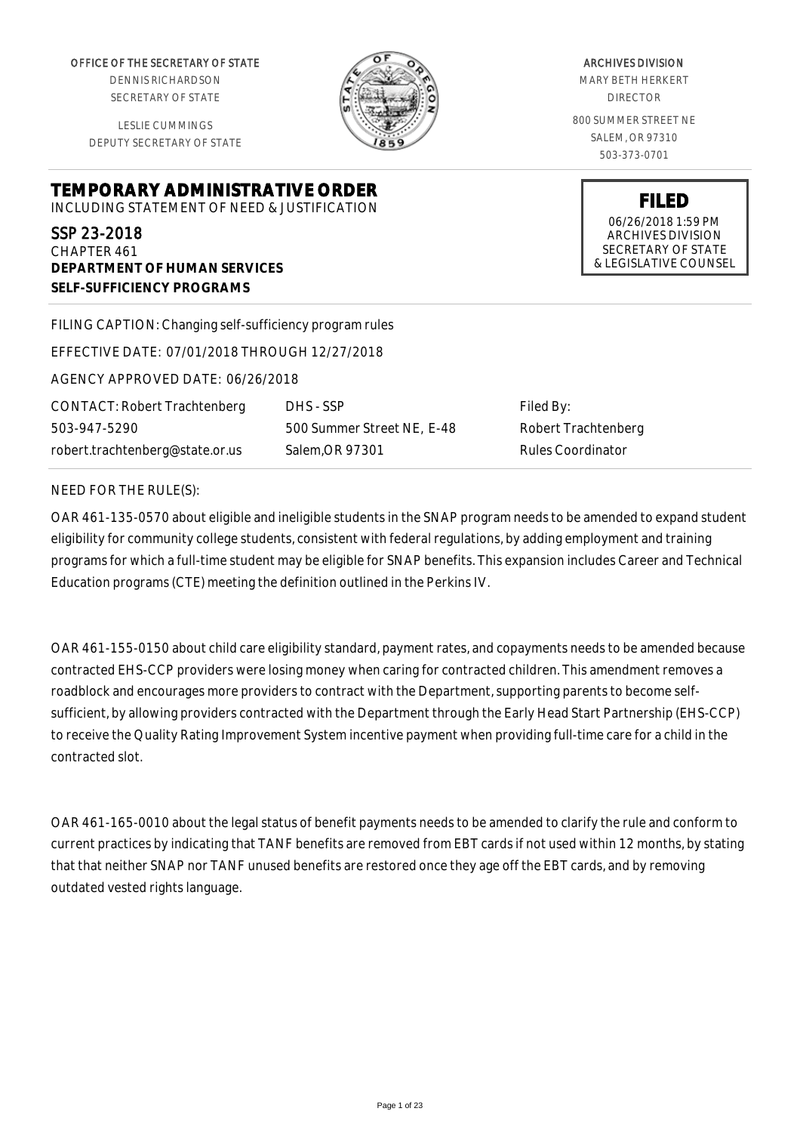OFFICE OF THE SECRETARY OF STATE

DENNIS RICHARDSON SECRETARY OF STATE

LESLIE CUMMINGS DEPUTY SECRETARY OF STATE

**DEPARTMENT OF HUMAN SERVICES**

**SELF-SUFFICIENCY PROGRAMS**



ARCHIVES DIVISION MARY BETH HERKERT DIRECTOR 800 SUMMER STREET NE SALEM, OR 97310 503-373-0701

> **FILED** 06/26/2018 1:59 PM ARCHIVES DIVISION SECRETARY OF STATE & LEGISLATIVE COUNSEL

FILING CAPTION: Changing self-sufficiency program rules

**TEMPORARY ADMINISTRATIVE ORDER** INCLUDING STATEMENT OF NEED & JUSTIFICATION

EFFECTIVE DATE: 07/01/2018 THROUGH 12/27/2018

AGENCY APPROVED DATE: 06/26/2018

CONTACT: Robert Trachtenberg 503-947-5290 robert.trachtenberg@state.or.us

DHS - SSP 500 Summer Street NE, E-48 Salem,OR 97301

Filed By: Robert Trachtenberg Rules Coordinator

#### NEED FOR THE RULE(S):

SSP 23-2018 CHAPTER 461

OAR 461-135-0570 about eligible and ineligible students in the SNAP program needs to be amended to expand student eligibility for community college students, consistent with federal regulations, by adding employment and training programs for which a full-time student may be eligible for SNAP benefits. This expansion includes Career and Technical Education programs (CTE) meeting the definition outlined in the Perkins IV.

OAR 461-155-0150 about child care eligibility standard, payment rates, and copayments needs to be amended because contracted EHS-CCP providers were losing money when caring for contracted children. This amendment removes a roadblock and encourages more providers to contract with the Department, supporting parents to become selfsufficient, by allowing providers contracted with the Department through the Early Head Start Partnership (EHS-CCP) to receive the Quality Rating Improvement System incentive payment when providing full-time care for a child in the contracted slot.

OAR 461-165-0010 about the legal status of benefit payments needs to be amended to clarify the rule and conform to current practices by indicating that TANF benefits are removed from EBT cards if not used within 12 months, by stating that that neither SNAP nor TANF unused benefits are restored once they age off the EBT cards, and by removing outdated vested rights language.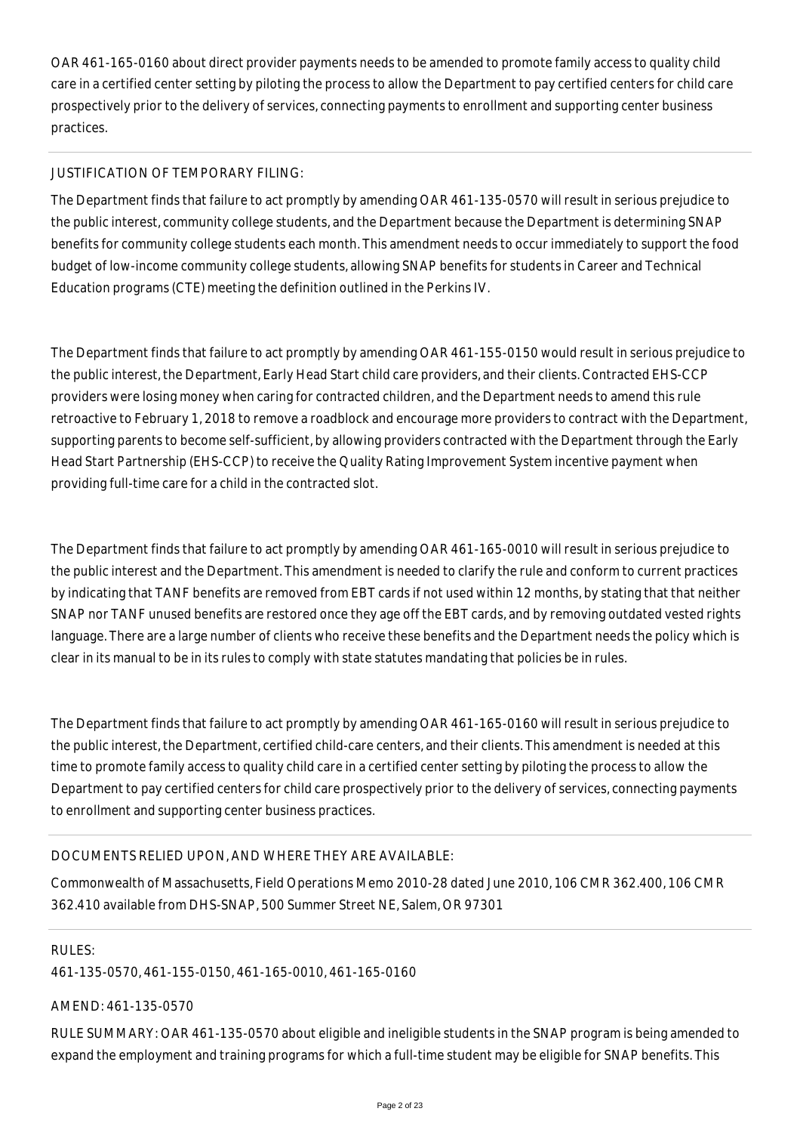OAR 461-165-0160 about direct provider payments needs to be amended to promote family access to quality child care in a certified center setting by piloting the process to allow the Department to pay certified centers for child care prospectively prior to the delivery of services, connecting payments to enrollment and supporting center business practices.

## JUSTIFICATION OF TEMPORARY FILING:

The Department finds that failure to act promptly by amending OAR 461-135-0570 will result in serious prejudice to the public interest, community college students, and the Department because the Department is determining SNAP benefits for community college students each month. This amendment needs to occur immediately to support the food budget of low-income community college students, allowing SNAP benefits for students in Career and Technical Education programs (CTE) meeting the definition outlined in the Perkins IV.

The Department finds that failure to act promptly by amending OAR 461-155-0150 would result in serious prejudice to the public interest, the Department, Early Head Start child care providers, and their clients. Contracted EHS-CCP providers were losing money when caring for contracted children, and the Department needs to amend this rule retroactive to February 1, 2018 to remove a roadblock and encourage more providers to contract with the Department, supporting parents to become self-sufficient, by allowing providers contracted with the Department through the Early Head Start Partnership (EHS-CCP) to receive the Quality Rating Improvement System incentive payment when providing full-time care for a child in the contracted slot.

The Department finds that failure to act promptly by amending OAR 461-165-0010 will result in serious prejudice to the public interest and the Department. This amendment is needed to clarify the rule and conform to current practices by indicating that TANF benefits are removed from EBT cards if not used within 12 months, by stating that that neither SNAP nor TANF unused benefits are restored once they age off the EBT cards, and by removing outdated vested rights language. There are a large number of clients who receive these benefits and the Department needs the policy which is clear in its manual to be in its rules to comply with state statutes mandating that policies be in rules.

The Department finds that failure to act promptly by amending OAR 461-165-0160 will result in serious prejudice to the public interest, the Department, certified child-care centers, and their clients. This amendment is needed at this time to promote family access to quality child care in a certified center setting by piloting the process to allow the Department to pay certified centers for child care prospectively prior to the delivery of services, connecting payments to enrollment and supporting center business practices.

### DOCUMENTS RELIED UPON, AND WHERE THEY ARE AVAILABLE:

Commonwealth of Massachusetts, Field Operations Memo 2010-28 dated June 2010, 106 CMR 362.400, 106 CMR 362.410 available from DHS-SNAP, 500 Summer Street NE, Salem, OR 97301

### RULES:

461-135-0570, 461-155-0150, 461-165-0010, 461-165-0160

# AMEND: 461-135-0570

RULE SUMMARY: OAR 461-135-0570 about eligible and ineligible students in the SNAP program is being amended to expand the employment and training programs for which a full-time student may be eligible for SNAP benefits. This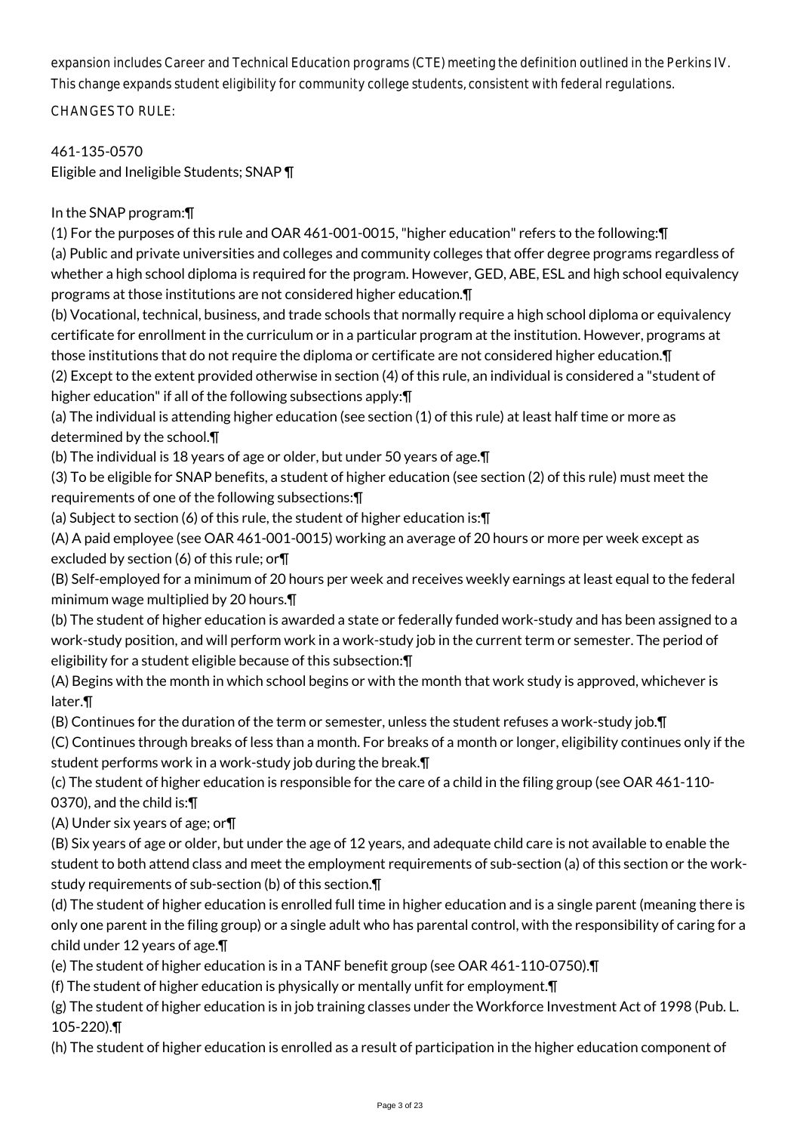expansion includes Career and Technical Education programs (CTE) meeting the definition outlined in the Perkins IV. This change expands student eligibility for community college students, consistent with federal regulations.

CHANGES TO RULE:

461-135-0570 Eligible and Ineligible Students; SNAP ¶

# In the SNAP program:¶

(1) For the purposes of this rule and OAR 461-001-0015, "higher education" refers to the following:¶

(a) Public and private universities and colleges and community colleges that offer degree programs regardless of whether a high school diploma is required for the program. However, GED, ABE, ESL and high school equivalency programs at those institutions are not considered higher education.¶

(b) Vocational, technical, business, and trade schools that normally require a high school diploma or equivalency certificate for enrollment in the curriculum or in a particular program at the institution. However, programs at those institutions that do not require the diploma or certificate are not considered higher education.¶ (2) Except to the extent provided otherwise in section (4) of this rule, an individual is considered a "student of

higher education" if all of the following subsections apply:¶

(a) The individual is attending higher education (see section (1) of this rule) at least half time or more as determined by the school.¶

(b) The individual is 18 years of age or older, but under 50 years of age.¶

(3) To be eligible for SNAP benefits, a student of higher education (see section (2) of this rule) must meet the requirements of one of the following subsections:¶

(a) Subject to section (6) of this rule, the student of higher education is:¶

(A) A paid employee (see OAR 461-001-0015) working an average of 20 hours or more per week except as excluded by section (6) of this rule; or¶

(B) Self-employed for a minimum of 20 hours per week and receives weekly earnings at least equal to the federal minimum wage multiplied by 20 hours.¶

(b) The student of higher education is awarded a state or federally funded work-study and has been assigned to a work-study position, and will perform work in a work-study job in the current term or semester. The period of eligibility for a student eligible because of this subsection:¶

(A) Begins with the month in which school begins or with the month that work study is approved, whichever is later.¶

(B) Continues for the duration of the term or semester, unless the student refuses a work-study job.¶

(C) Continues through breaks of less than a month. For breaks of a month or longer, eligibility continues only if the student performs work in a work-study job during the break.¶

(c) The student of higher education is responsible for the care of a child in the filing group (see OAR 461-110- 0370), and the child is:¶

(A) Under six years of age; or¶

(B) Six years of age or older, but under the age of 12 years, and adequate child care is not available to enable the student to both attend class and meet the employment requirements of sub-section (a) of this section or the workstudy requirements of sub-section (b) of this section.¶

(d) The student of higher education is enrolled full time in higher education and is a single parent (meaning there is only one parent in the filing group) or a single adult who has parental control, with the responsibility of caring for a child under 12 years of age.¶

(e) The student of higher education is in a TANF benefit group (see OAR 461-110-0750).¶

(f) The student of higher education is physically or mentally unfit for employment.¶

(g) The student of higher education is in job training classes under the Workforce Investment Act of 1998 (Pub. L. 105-220).¶

(h) The student of higher education is enrolled as a result of participation in the higher education component of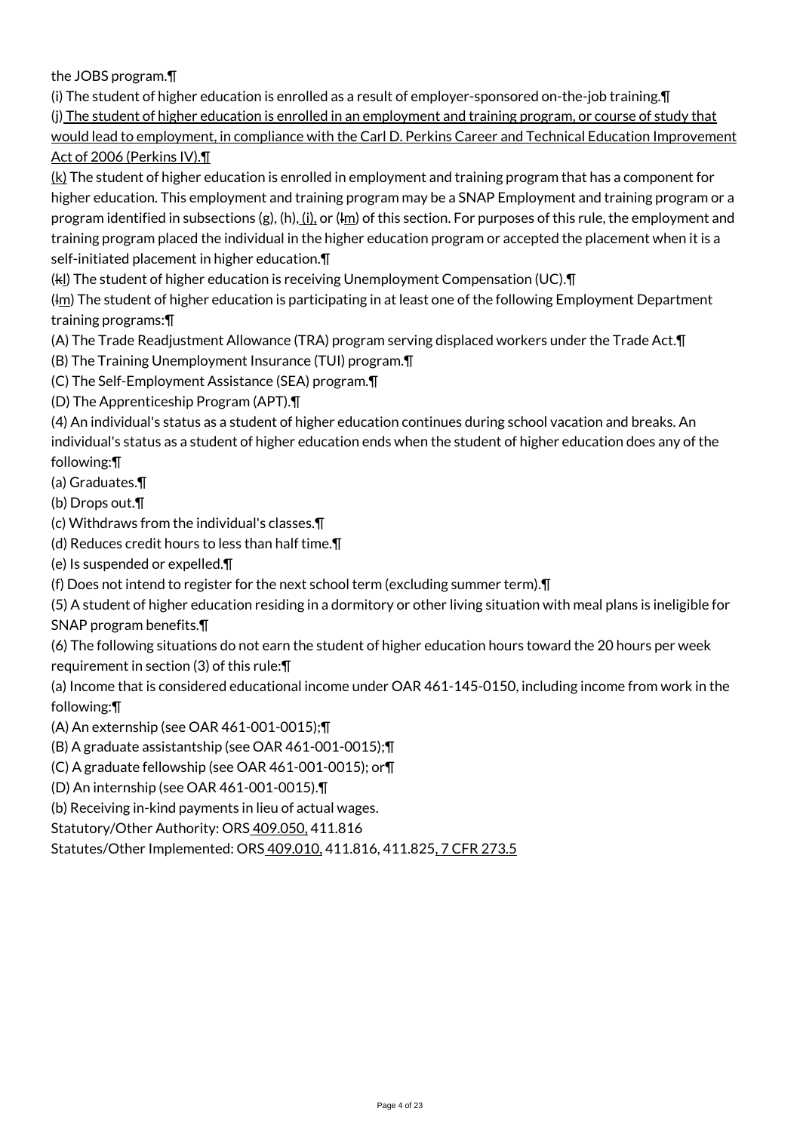the JOBS program.¶

(i) The student of higher education is enrolled as a result of employer-sponsored on-the-job training.¶

(j) The student of higher education is enrolled in an employment and training program, or course of study that would lead to employment, in compliance with the Carl D. Perkins Career and Technical Education Improvement Act of 2006 (Perkins IV).¶

 $(k)$  The student of higher education is enrolled in employment and training program that has a component for higher education. This employment and training program may be a SNAP Employment and training program or a program identified in subsections (g), (h), (i), or ( $\text{Im}$ ) of this section. For purposes of this rule, the employment and training program placed the individual in the higher education program or accepted the placement when it is a self-initiated placement in higher education.¶

(kl) The student of higher education is receiving Unemployment Compensation (UC).¶

(Im) The student of higher education is participating in at least one of the following Employment Department training programs:¶

(A) The Trade Readjustment Allowance (TRA) program serving displaced workers under the Trade Act.¶

(B) The Training Unemployment Insurance (TUI) program.¶

(C) The Self-Employment Assistance (SEA) program.¶

(D) The Apprenticeship Program (APT).¶

(4) An individual's status as a student of higher education continues during school vacation and breaks. An individual's status as a student of higher education ends when the student of higher education does any of the following:¶

(a) Graduates.¶

(b) Drops out.¶

(c) Withdraws from the individual's classes.¶

(d) Reduces credit hours to less than half time.¶

(e) Is suspended or expelled.¶

(f) Does not intend to register for the next school term (excluding summer term).¶

(5) A student of higher education residing in a dormitory or other living situation with meal plans is ineligible for SNAP program benefits.¶

(6) The following situations do not earn the student of higher education hours toward the 20 hours per week

requirement in section (3) of this rule:¶

(a) Income that is considered educational income under OAR 461-145-0150, including income from work in the following:¶

(A) An externship (see OAR 461-001-0015);¶

(B) A graduate assistantship (see OAR 461-001-0015);¶

(C) A graduate fellowship (see OAR 461-001-0015); or¶

(D) An internship (see OAR 461-001-0015).¶

(b) Receiving in-kind payments in lieu of actual wages.

Statutory/Other Authority: ORS 409.050, 411.816

Statutes/Other Implemented: ORS 409.010, 411.816, 411.825, 7 CFR 273.5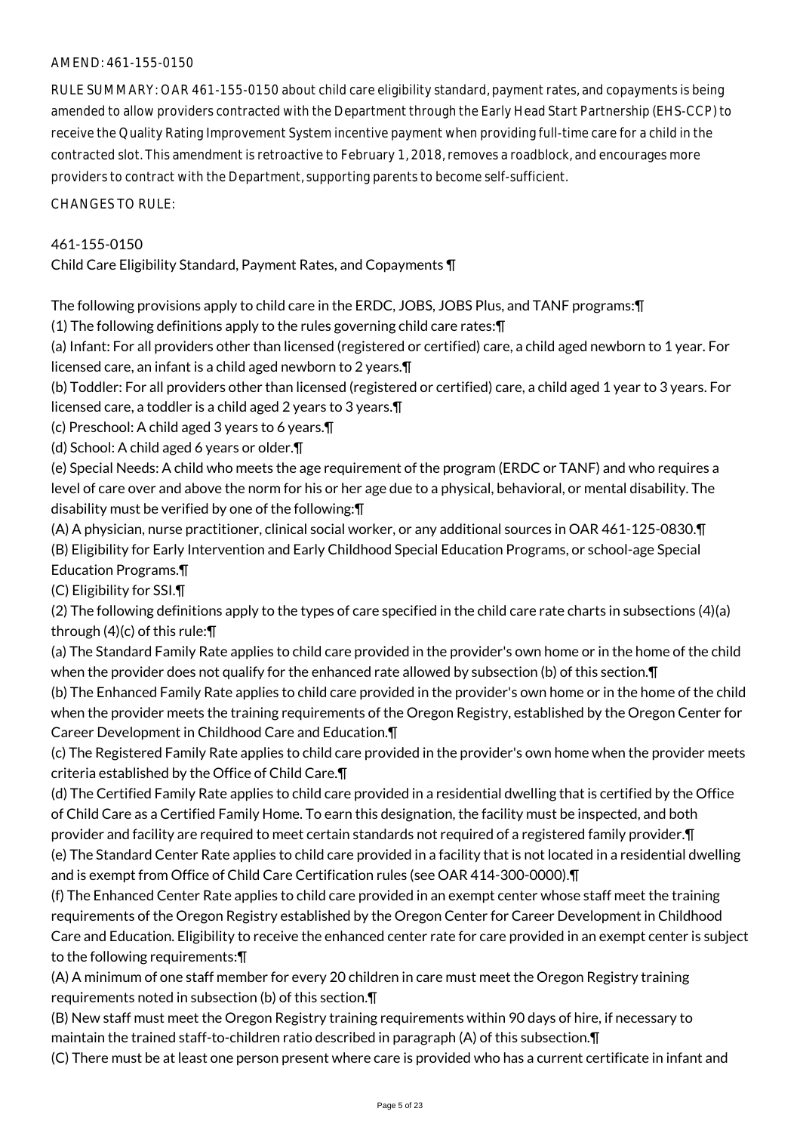## AMEND: 461-155-0150

RULE SUMMARY: OAR 461-155-0150 about child care eligibility standard, payment rates, and copayments is being amended to allow providers contracted with the Department through the Early Head Start Partnership (EHS-CCP) to receive the Quality Rating Improvement System incentive payment when providing full-time care for a child in the contracted slot. This amendment is retroactive to February 1, 2018, removes a roadblock, and encourages more providers to contract with the Department, supporting parents to become self-sufficient.

CHANGES TO RULE:

# 461-155-0150

Child Care Eligibility Standard, Payment Rates, and Copayments ¶

The following provisions apply to child care in the ERDC, JOBS, JOBS Plus, and TANF programs:¶

(1) The following definitions apply to the rules governing child care rates:¶

(a) Infant: For all providers other than licensed (registered or certified) care, a child aged newborn to 1 year. For licensed care, an infant is a child aged newborn to 2 years.¶

(b) Toddler: For all providers other than licensed (registered or certified) care, a child aged 1 year to 3 years. For licensed care, a toddler is a child aged 2 years to 3 years.¶

(c) Preschool: A child aged 3 years to 6 years.¶

(d) School: A child aged 6 years or older.¶

(e) Special Needs: A child who meets the age requirement of the program (ERDC or TANF) and who requires a level of care over and above the norm for his or her age due to a physical, behavioral, or mental disability. The disability must be verified by one of the following:¶

(A) A physician, nurse practitioner, clinical social worker, or any additional sources in OAR 461-125-0830.¶ (B) Eligibility for Early Intervention and Early Childhood Special Education Programs, or school-age Special Education Programs.¶

(C) Eligibility for SSI.¶

(2) The following definitions apply to the types of care specified in the child care rate charts in subsections (4)(a) through (4)(c) of this rule:¶

(a) The Standard Family Rate applies to child care provided in the provider's own home or in the home of the child when the provider does not qualify for the enhanced rate allowed by subsection (b) of this section.¶

(b) The Enhanced Family Rate applies to child care provided in the provider's own home or in the home of the child when the provider meets the training requirements of the Oregon Registry, established by the Oregon Center for Career Development in Childhood Care and Education.¶

(c) The Registered Family Rate applies to child care provided in the provider's own home when the provider meets criteria established by the Office of Child Care.¶

(d) The Certified Family Rate applies to child care provided in a residential dwelling that is certified by the Office of Child Care as a Certified Family Home. To earn this designation, the facility must be inspected, and both provider and facility are required to meet certain standards not required of a registered family provider. In

(e) The Standard Center Rate applies to child care provided in a facility that is not located in a residential dwelling and is exempt from Office of Child Care Certification rules (see OAR 414-300-0000). T

(f) The Enhanced Center Rate applies to child care provided in an exempt center whose staff meet the training requirements of the Oregon Registry established by the Oregon Center for Career Development in Childhood Care and Education. Eligibility to receive the enhanced center rate for care provided in an exempt center is subject to the following requirements:¶

(A) A minimum of one staff member for every 20 children in care must meet the Oregon Registry training requirements noted in subsection (b) of this section.¶

(B) New staff must meet the Oregon Registry training requirements within 90 days of hire, if necessary to maintain the trained staff-to-children ratio described in paragraph (A) of this subsection.¶

(C) There must be at least one person present where care is provided who has a current certificate in infant and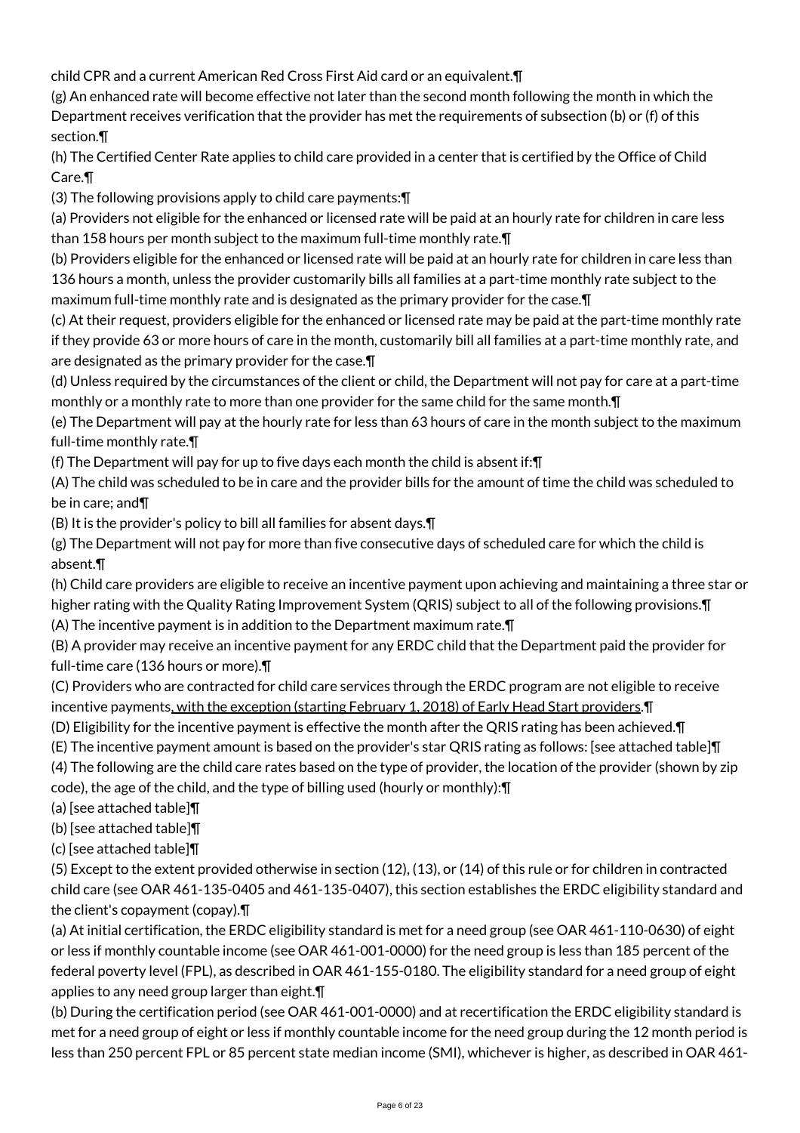child CPR and a current American Red Cross First Aid card or an equivalent.¶

(g) An enhanced rate will become effective not later than the second month following the month in which the Department receives verification that the provider has met the requirements of subsection (b) or (f) of this section.¶

(h) The Certified Center Rate applies to child care provided in a center that is certified by the Office of Child Care.¶

(3) The following provisions apply to child care payments:¶

(a) Providers not eligible for the enhanced or licensed rate will be paid at an hourly rate for children in care less than 158 hours per month subject to the maximum full-time monthly rate.¶

(b) Providers eligible for the enhanced or licensed rate will be paid at an hourly rate for children in care less than 136 hours a month, unless the provider customarily bills all families at a part-time monthly rate subject to the maximum full-time monthly rate and is designated as the primary provider for the case.¶

(c) At their request, providers eligible for the enhanced or licensed rate may be paid at the part-time monthly rate if they provide 63 or more hours of care in the month, customarily bill all families at a part-time monthly rate, and are designated as the primary provider for the case.¶

(d) Unless required by the circumstances of the client or child, the Department will not pay for care at a part-time monthly or a monthly rate to more than one provider for the same child for the same month.¶

(e) The Department will pay at the hourly rate for less than 63 hours of care in the month subject to the maximum full-time monthly rate.¶

(f) The Department will pay for up to five days each month the child is absent if:¶

(A) The child was scheduled to be in care and the provider bills for the amount of time the child was scheduled to be in care; and¶

(B) It is the provider's policy to bill all families for absent days.¶

(g) The Department will not pay for more than five consecutive days of scheduled care for which the child is absent.¶

(h) Child care providers are eligible to receive an incentive payment upon achieving and maintaining a three star or higher rating with the Quality Rating Improvement System (QRIS) subject to all of the following provisions.¶

(A) The incentive payment is in addition to the Department maximum rate.¶

(B) A provider may receive an incentive payment for any ERDC child that the Department paid the provider for full-time care (136 hours or more).¶

(C) Providers who are contracted for child care services through the ERDC program are not eligible to receive incentive payments, with the exception (starting February 1, 2018) of Early Head Start providers.¶

(D) Eligibility for the incentive payment is effective the month after the QRIS rating has been achieved.¶

(E) The incentive payment amount is based on the provider's star QRIS rating as follows: [see attached table]¶

(4) The following are the child care rates based on the type of provider, the location of the provider (shown by zip code), the age of the child, and the type of billing used (hourly or monthly):¶

(a) [see attached table]¶

(b) [see attached table]¶

(c) [see attached table]¶

(5) Except to the extent provided otherwise in section (12), (13), or (14) of this rule or for children in contracted child care (see OAR 461-135-0405 and 461-135-0407), this section establishes the ERDC eligibility standard and the client's copayment (copay).¶

(a) At initial certification, the ERDC eligibility standard is met for a need group (see OAR 461-110-0630) of eight or less if monthly countable income (see OAR 461-001-0000) for the need group is less than 185 percent of the federal poverty level (FPL), as described in OAR 461-155-0180. The eligibility standard for a need group of eight applies to any need group larger than eight.¶

(b) During the certification period (see OAR 461-001-0000) and at recertification the ERDC eligibility standard is met for a need group of eight or less if monthly countable income for the need group during the 12 month period is less than 250 percent FPL or 85 percent state median income (SMI), whichever is higher, as described in OAR 461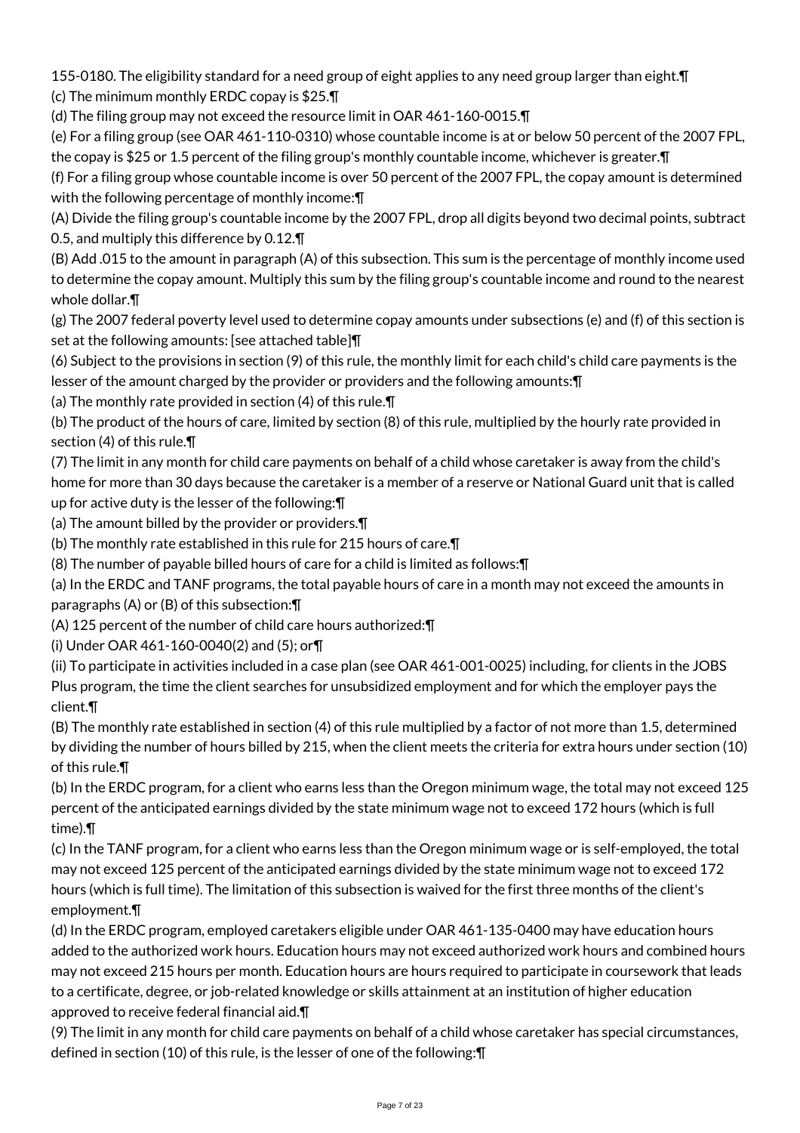155-0180. The eligibility standard for a need group of eight applies to any need group larger than eight.¶ (c) The minimum monthly ERDC copay is \$25.¶

(d) The filing group may not exceed the resource limit in OAR 461-160-0015.¶

(e) For a filing group (see OAR 461-110-0310) whose countable income is at or below 50 percent of the 2007 FPL, the copay is \$25 or 1.5 percent of the filing group's monthly countable income, whichever is greater.¶

(f) For a filing group whose countable income is over 50 percent of the 2007 FPL, the copay amount is determined with the following percentage of monthly income: \[

(A) Divide the filing group's countable income by the 2007 FPL, drop all digits beyond two decimal points, subtract 0.5, and multiply this difference by 0.12.¶

(B) Add .015 to the amount in paragraph (A) of this subsection. This sum is the percentage of monthly income used to determine the copay amount. Multiply this sum by the filing group's countable income and round to the nearest whole dollar.¶

(g) The 2007 federal poverty level used to determine copay amounts under subsections (e) and (f) of this section is set at the following amounts: [see attached table]¶

(6) Subject to the provisions in section (9) of this rule, the monthly limit for each child's child care payments is the lesser of the amount charged by the provider or providers and the following amounts:¶

(a) The monthly rate provided in section (4) of this rule.¶

(b) The product of the hours of care, limited by section (8) of this rule, multiplied by the hourly rate provided in section (4) of this rule.¶

(7) The limit in any month for child care payments on behalf of a child whose caretaker is away from the child's home for more than 30 days because the caretaker is a member of a reserve or National Guard unit that is called up for active duty is the lesser of the following:¶

(a) The amount billed by the provider or providers.¶

(b) The monthly rate established in this rule for 215 hours of care.¶

(8) The number of payable billed hours of care for a child is limited as follows:¶

(a) In the ERDC and TANF programs, the total payable hours of care in a month may not exceed the amounts in paragraphs (A) or (B) of this subsection:¶

(A) 125 percent of the number of child care hours authorized:¶

(i) Under OAR 461-160-0040(2) and (5); or¶

(ii) To participate in activities included in a case plan (see OAR 461-001-0025) including, for clients in the JOBS Plus program, the time the client searches for unsubsidized employment and for which the employer pays the client.¶

(B) The monthly rate established in section (4) of this rule multiplied by a factor of not more than 1.5, determined by dividing the number of hours billed by 215, when the client meets the criteria for extra hours under section (10) of this rule.¶

(b) In the ERDC program, for a client who earns less than the Oregon minimum wage, the total may not exceed 125 percent of the anticipated earnings divided by the state minimum wage not to exceed 172 hours (which is full time).¶

(c) In the TANF program, for a client who earns less than the Oregon minimum wage or is self-employed, the total may not exceed 125 percent of the anticipated earnings divided by the state minimum wage not to exceed 172 hours (which is full time). The limitation of this subsection is waived for the first three months of the client's employment.¶

(d) In the ERDC program, employed caretakers eligible under OAR 461-135-0400 may have education hours added to the authorized work hours. Education hours may not exceed authorized work hours and combined hours may not exceed 215 hours per month. Education hours are hours required to participate in coursework that leads to a certificate, degree, or job-related knowledge or skills attainment at an institution of higher education approved to receive federal financial aid.¶

(9) The limit in any month for child care payments on behalf of a child whose caretaker has special circumstances, defined in section (10) of this rule, is the lesser of one of the following:¶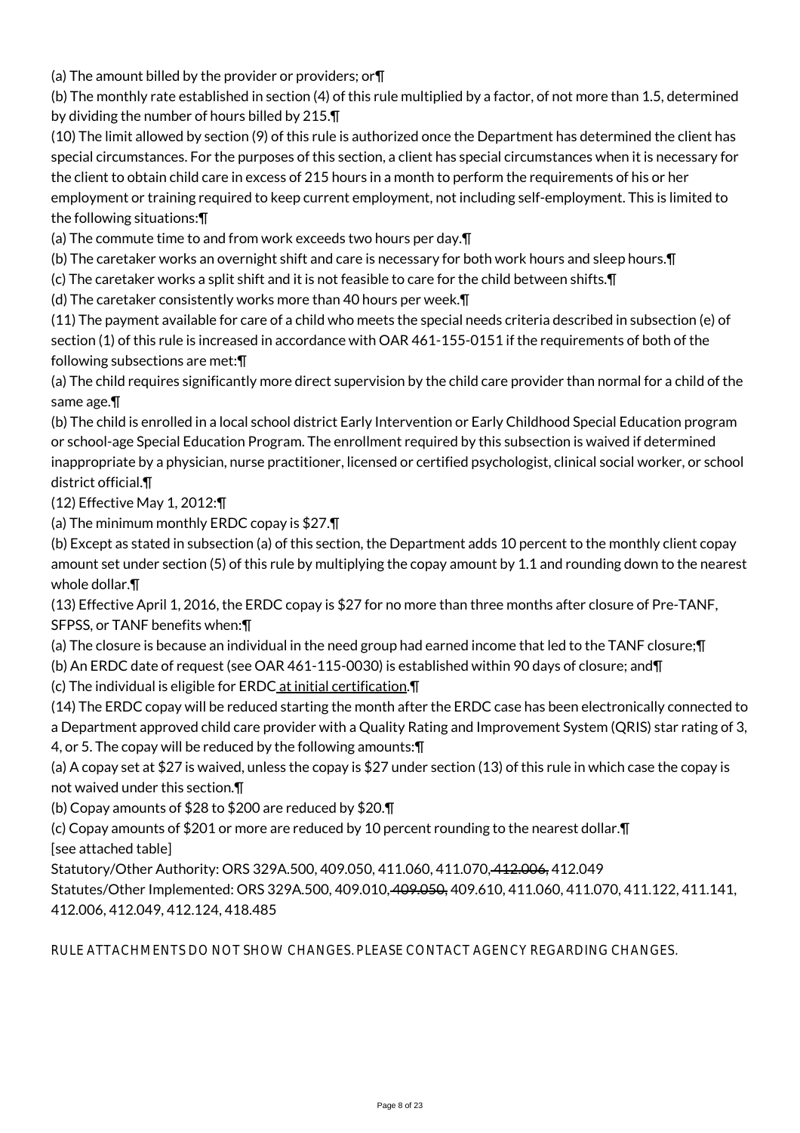(a) The amount billed by the provider or providers; or¶

(b) The monthly rate established in section (4) of this rule multiplied by a factor, of not more than 1.5, determined by dividing the number of hours billed by 215.¶

(10) The limit allowed by section (9) of this rule is authorized once the Department has determined the client has special circumstances. For the purposes of this section, a client has special circumstances when it is necessary for the client to obtain child care in excess of 215 hours in a month to perform the requirements of his or her employment or training required to keep current employment, not including self-employment. This is limited to the following situations:¶

(a) The commute time to and from work exceeds two hours per day.¶

(b) The caretaker works an overnight shift and care is necessary for both work hours and sleep hours.¶

(c) The caretaker works a split shift and it is not feasible to care for the child between shifts.¶

(d) The caretaker consistently works more than 40 hours per week.¶

(11) The payment available for care of a child who meets the special needs criteria described in subsection (e) of section (1) of this rule is increased in accordance with OAR 461-155-0151 if the requirements of both of the following subsections are met:¶

(a) The child requires significantly more direct supervision by the child care provider than normal for a child of the same age.¶

(b) The child is enrolled in a local school district Early Intervention or Early Childhood Special Education program or school-age Special Education Program. The enrollment required by this subsection is waived if determined inappropriate by a physician, nurse practitioner, licensed or certified psychologist, clinical social worker, or school district official.¶

(12) Effective May 1, 2012:¶

(a) The minimum monthly ERDC copay is \$27.¶

(b) Except as stated in subsection (a) of this section, the Department adds 10 percent to the monthly client copay amount set under section (5) of this rule by multiplying the copay amount by 1.1 and rounding down to the nearest whole dollar.¶

(13) Effective April 1, 2016, the ERDC copay is \$27 for no more than three months after closure of Pre-TANF, SFPSS, or TANF benefits when:¶

(a) The closure is because an individual in the need group had earned income that led to the TANF closure;¶

(b) An ERDC date of request (see OAR 461-115-0030) is established within 90 days of closure; and¶

(c) The individual is eligible for ERDC at initial certification.¶

(14) The ERDC copay will be reduced starting the month after the ERDC case has been electronically connected to a Department approved child care provider with a Quality Rating and Improvement System (QRIS) star rating of 3, 4, or 5. The copay will be reduced by the following amounts:¶

(a) A copay set at \$27 is waived, unless the copay is \$27 under section (13) of this rule in which case the copay is not waived under this section.¶

(b) Copay amounts of \$28 to \$200 are reduced by \$20.¶

(c) Copay amounts of \$201 or more are reduced by 10 percent rounding to the nearest dollar.¶ [see attached table]

Statutory/Other Authority: ORS 329A.500, 409.050, 411.060, 411.070, 412.006, 412.049

Statutes/Other Implemented: ORS 329A.500, 409.010, 409.050, 409.610, 411.060, 411.070, 411.122, 411.141, 412.006, 412.049, 412.124, 418.485

RULE ATTACHMENTS DO NOT SHOW CHANGES. PLEASE CONTACT AGENCY REGARDING CHANGES.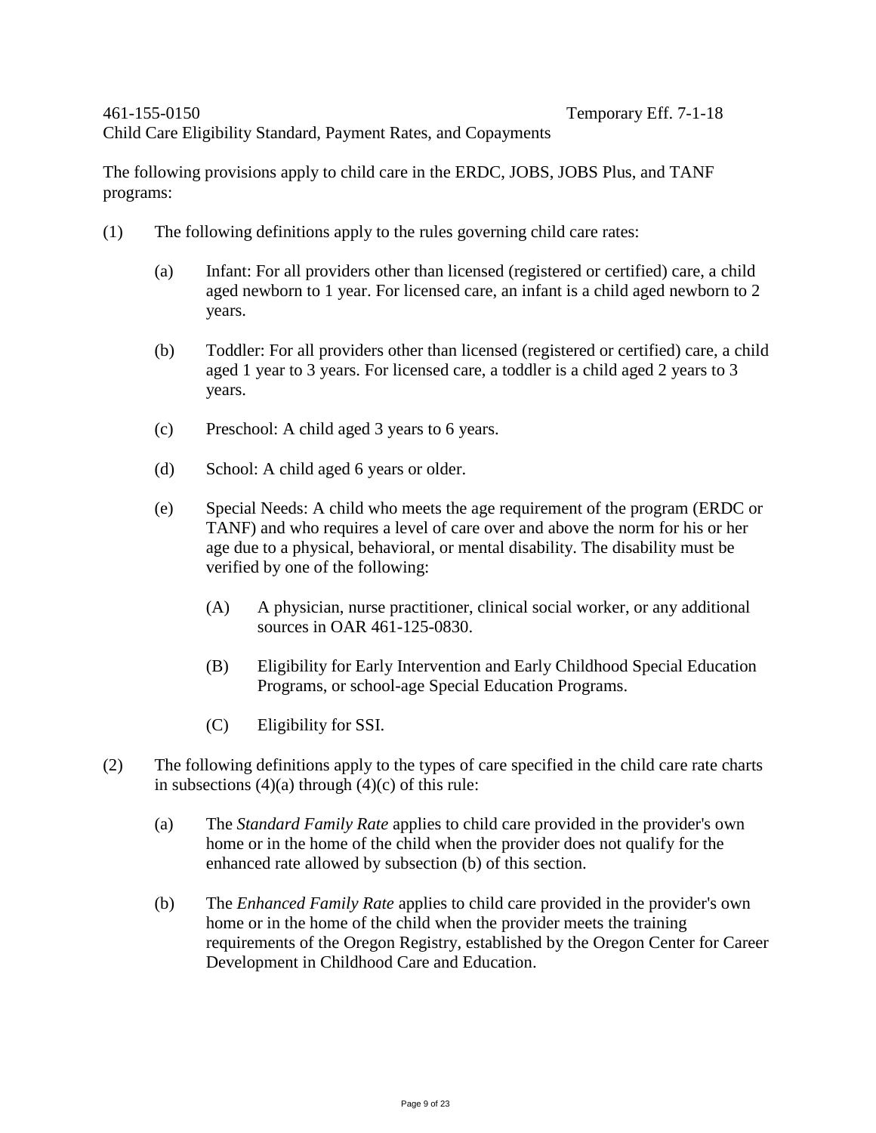Child Care Eligibility Standard, Payment Rates, and Copayments

The following provisions apply to child care in the ERDC, JOBS, JOBS Plus, and TANF programs:

- (1) The following definitions apply to the rules governing child care rates:
	- (a) Infant: For all providers other than licensed (registered or certified) care, a child aged newborn to 1 year. For licensed care, an infant is a child aged newborn to 2 years.
	- (b) Toddler: For all providers other than licensed (registered or certified) care, a child aged 1 year to 3 years. For licensed care, a toddler is a child aged 2 years to 3 years.
	- (c) Preschool: A child aged 3 years to 6 years.
	- (d) School: A child aged 6 years or older.
	- (e) Special Needs: A child who meets the age requirement of the program (ERDC or TANF) and who requires a level of care over and above the norm for his or her age due to a physical, behavioral, or mental disability. The disability must be verified by one of the following:
		- (A) A physician, nurse practitioner, clinical social worker, or any additional sources in OAR 461-125-0830.
		- (B) Eligibility for Early Intervention and Early Childhood Special Education Programs, or school-age Special Education Programs.
		- (C) Eligibility for SSI.
- (2) The following definitions apply to the types of care specified in the child care rate charts in subsections  $(4)(a)$  through  $(4)(c)$  of this rule:
	- (a) The *Standard Family Rate* applies to child care provided in the provider's own home or in the home of the child when the provider does not qualify for the enhanced rate allowed by subsection (b) of this section.
	- (b) The *Enhanced Family Rate* applies to child care provided in the provider's own home or in the home of the child when the provider meets the training requirements of the Oregon Registry, established by the Oregon Center for Career Development in Childhood Care and Education.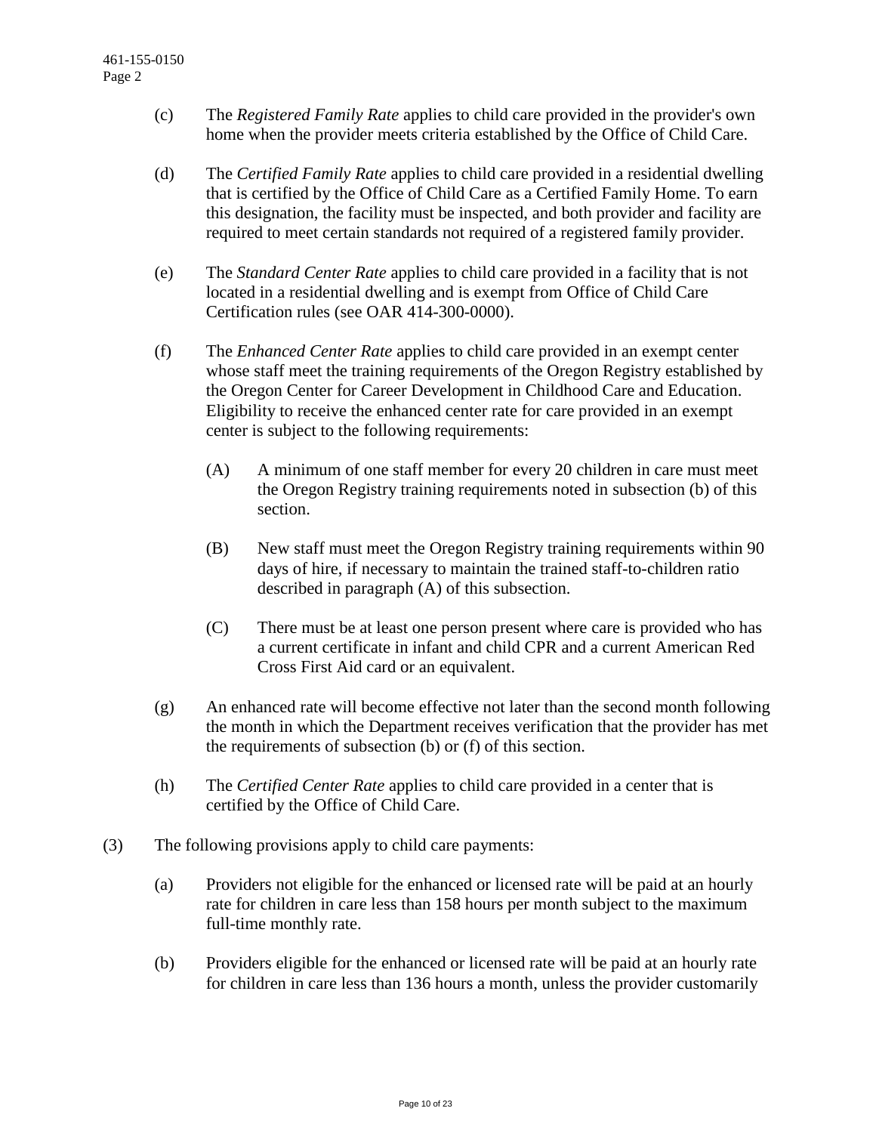- (c) The *Registered Family Rate* applies to child care provided in the provider's own home when the provider meets criteria established by the Office of Child Care.
- (d) The *Certified Family Rate* applies to child care provided in a residential dwelling that is certified by the Office of Child Care as a Certified Family Home. To earn this designation, the facility must be inspected, and both provider and facility are required to meet certain standards not required of a registered family provider.
- (e) The *Standard Center Rate* applies to child care provided in a facility that is not located in a residential dwelling and is exempt from Office of Child Care Certification rules (see OAR 414-300-0000).
- (f) The *Enhanced Center Rate* applies to child care provided in an exempt center whose staff meet the training requirements of the Oregon Registry established by the Oregon Center for Career Development in Childhood Care and Education. Eligibility to receive the enhanced center rate for care provided in an exempt center is subject to the following requirements:
	- (A) A minimum of one staff member for every 20 children in care must meet the Oregon Registry training requirements noted in subsection (b) of this section.
	- (B) New staff must meet the Oregon Registry training requirements within 90 days of hire, if necessary to maintain the trained staff-to-children ratio described in paragraph (A) of this subsection.
	- (C) There must be at least one person present where care is provided who has a current certificate in infant and child CPR and a current American Red Cross First Aid card or an equivalent.
- (g) An enhanced rate will become effective not later than the second month following the month in which the Department receives verification that the provider has met the requirements of subsection (b) or (f) of this section.
- (h) The *Certified Center Rate* applies to child care provided in a center that is certified by the Office of Child Care.
- (3) The following provisions apply to child care payments:
	- (a) Providers not eligible for the enhanced or licensed rate will be paid at an hourly rate for children in care less than 158 hours per month subject to the maximum full-time monthly rate.
	- (b) Providers eligible for the enhanced or licensed rate will be paid at an hourly rate for children in care less than 136 hours a month, unless the provider customarily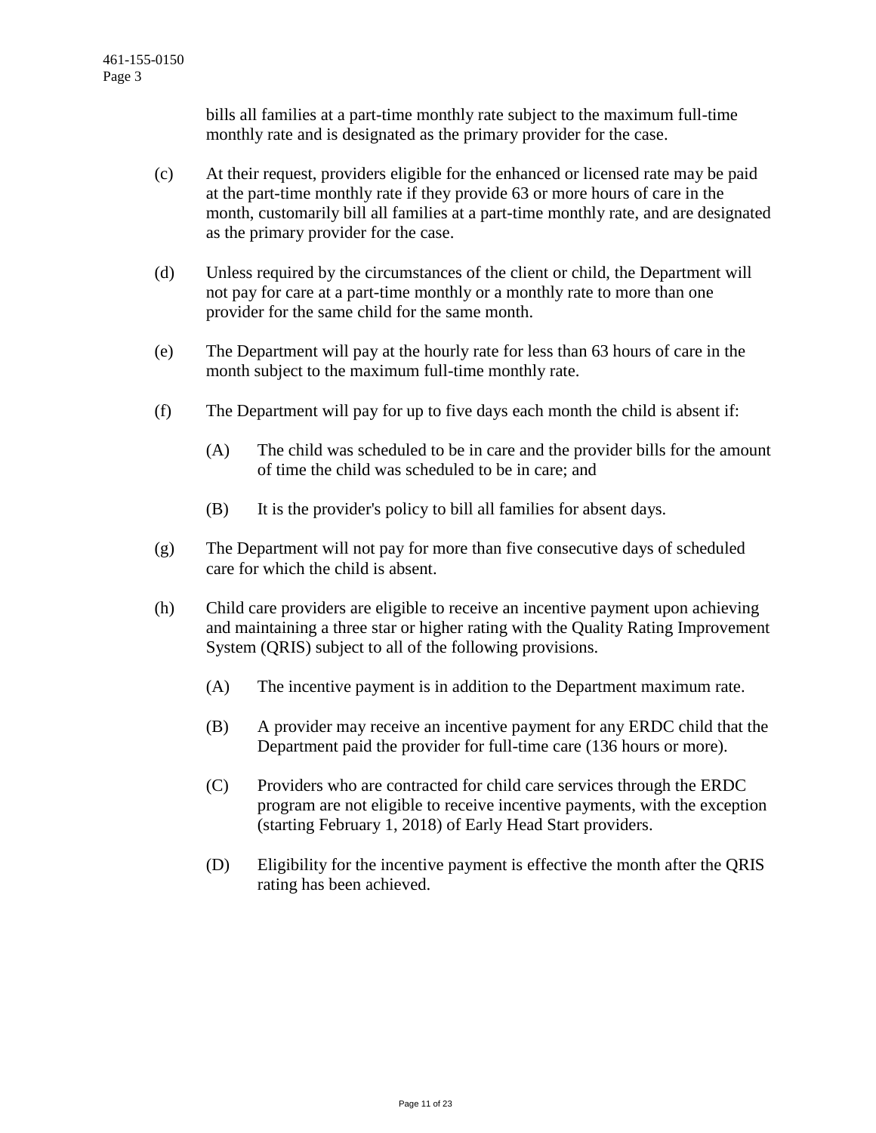bills all families at a part-time monthly rate subject to the maximum full-time monthly rate and is designated as the primary provider for the case.

- (c) At their request, providers eligible for the enhanced or licensed rate may be paid at the part-time monthly rate if they provide 63 or more hours of care in the month, customarily bill all families at a part-time monthly rate, and are designated as the primary provider for the case.
- (d) Unless required by the circumstances of the client or child, the Department will not pay for care at a part-time monthly or a monthly rate to more than one provider for the same child for the same month.
- (e) The Department will pay at the hourly rate for less than 63 hours of care in the month subject to the maximum full-time monthly rate.
- (f) The Department will pay for up to five days each month the child is absent if:
	- (A) The child was scheduled to be in care and the provider bills for the amount of time the child was scheduled to be in care; and
	- (B) It is the provider's policy to bill all families for absent days.
- (g) The Department will not pay for more than five consecutive days of scheduled care for which the child is absent.
- (h) Child care providers are eligible to receive an incentive payment upon achieving and maintaining a three star or higher rating with the Quality Rating Improvement System (QRIS) subject to all of the following provisions.
	- (A) The incentive payment is in addition to the Department maximum rate.
	- (B) A provider may receive an incentive payment for any ERDC child that the Department paid the provider for full-time care (136 hours or more).
	- (C) Providers who are contracted for child care services through the ERDC program are not eligible to receive incentive payments, with the exception (starting February 1, 2018) of Early Head Start providers.
	- (D) Eligibility for the incentive payment is effective the month after the QRIS rating has been achieved.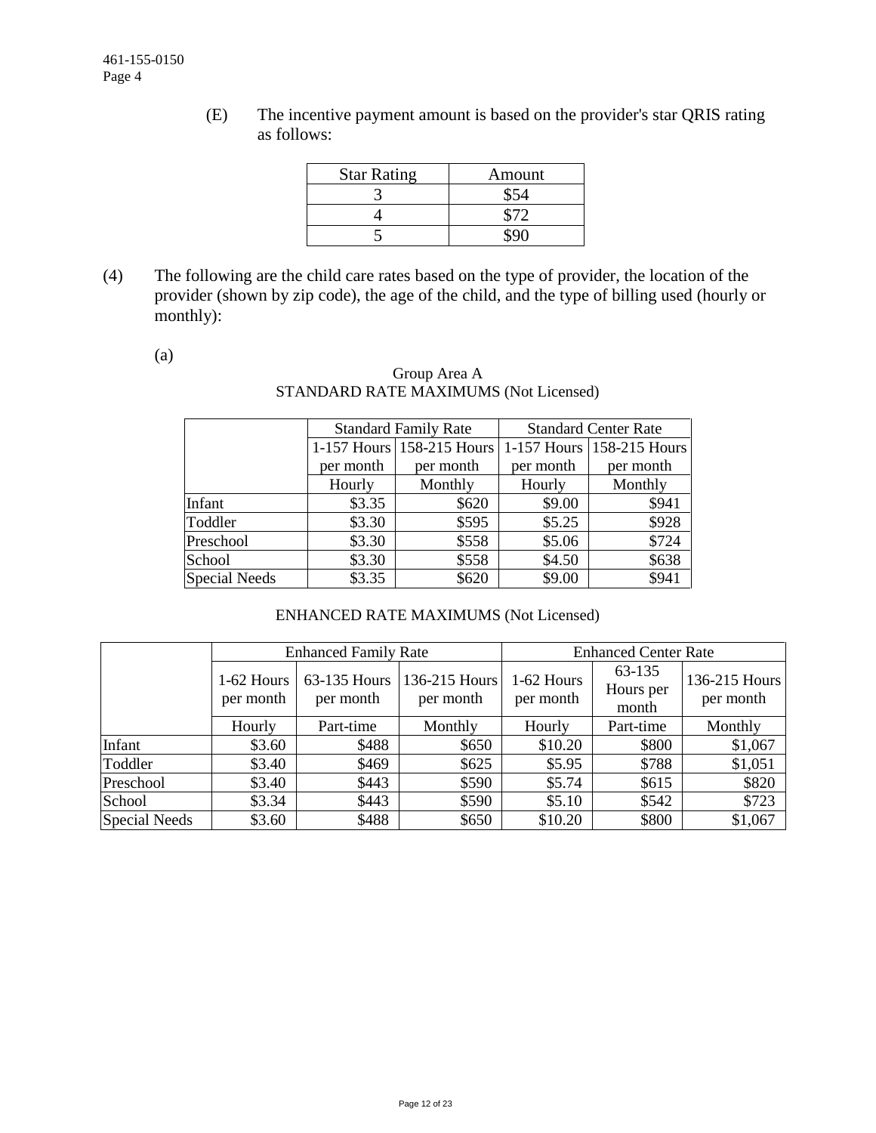(E) The incentive payment amount is based on the provider's star QRIS rating as follows:

| <b>Star Rating</b> | Amount |
|--------------------|--------|
|                    |        |
|                    |        |
|                    |        |

(4) The following are the child care rates based on the type of provider, the location of the provider (shown by zip code), the age of the child, and the type of billing used (hourly or monthly):

(a)

## Group Area A STANDARD RATE MAXIMUMS (Not Licensed)

|               |           | <b>Standard Family Rate</b> | <b>Standard Center Rate</b> |                           |  |  |
|---------------|-----------|-----------------------------|-----------------------------|---------------------------|--|--|
|               |           | 1-157 Hours 158-215 Hours   |                             | 1-157 Hours 158-215 Hours |  |  |
|               | per month | per month                   | per month                   | per month                 |  |  |
|               | Hourly    | Monthly                     | Hourly                      | Monthly                   |  |  |
| Infant        | \$3.35    | \$620                       | \$9.00                      | \$941                     |  |  |
| Toddler       | \$3.30    | \$595                       | \$5.25                      | \$928                     |  |  |
| Preschool     | \$3.30    | \$558                       | \$5.06                      | \$724                     |  |  |
| School        | \$3.30    | \$558                       | \$4.50                      | \$638                     |  |  |
| Special Needs | \$3.35    | \$620                       | \$9.00                      | \$941                     |  |  |

# ENHANCED RATE MAXIMUMS (Not Licensed)

|               |                           | <b>Enhanced Family Rate</b> |                            | <b>Enhanced Center Rate</b> |                              |                            |  |
|---------------|---------------------------|-----------------------------|----------------------------|-----------------------------|------------------------------|----------------------------|--|
|               | $1-62$ Hours<br>per month | 63-135 Hours<br>per month   | 136-215 Hours<br>per month | 1-62 Hours<br>per month     | 63-135<br>Hours per<br>month | 136-215 Hours<br>per month |  |
|               | Hourly                    | Part-time                   | Monthly                    | Hourly                      | Part-time                    | Monthly                    |  |
| Infant        | \$3.60                    | \$488                       | \$650                      | \$10.20                     | \$800                        | \$1,067                    |  |
| Toddler       | \$3.40                    | \$469                       | \$625                      | \$5.95                      | \$788                        | \$1,051                    |  |
| Preschool     | \$3.40                    | \$443                       | \$590                      | \$5.74                      | \$615                        | \$820                      |  |
| School        | \$3.34                    | \$443                       | \$590                      | \$5.10                      | \$542                        | \$723                      |  |
| Special Needs | \$3.60                    | \$488                       | \$650                      | \$10.20                     | \$800                        | \$1,067                    |  |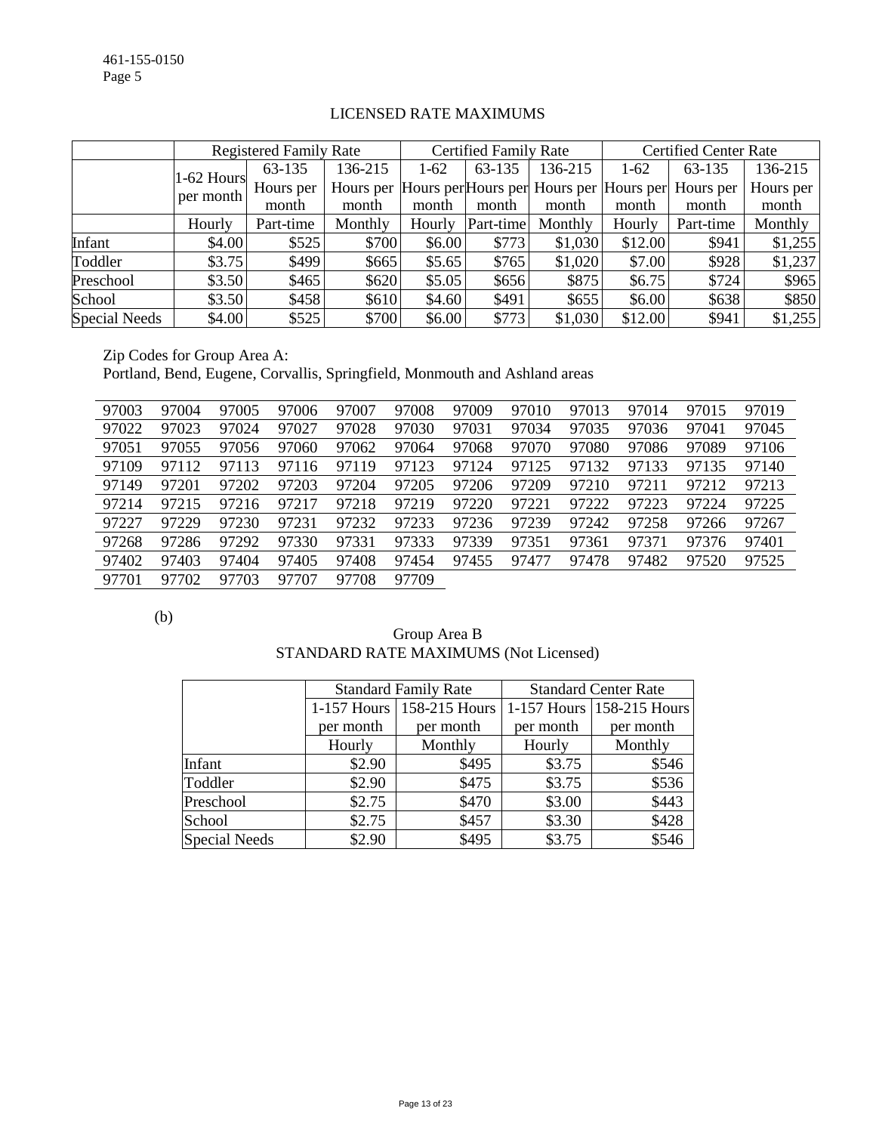|                      |              | <b>Registered Family Rate</b> |         |        | <b>Certified Family Rate</b> |                                                   |         | <b>Certified Center Rate</b> |           |  |
|----------------------|--------------|-------------------------------|---------|--------|------------------------------|---------------------------------------------------|---------|------------------------------|-----------|--|
|                      | $1-62$ Hours | 63-135                        | 136-215 | $1-62$ | 63-135                       | 136-215                                           | $1-62$  | 63-135                       | 136-215   |  |
|                      | per month    | Hours per                     |         |        |                              | Hours per Hours per Hours per Hours per Hours per |         | Hours per                    | Hours per |  |
|                      |              | month                         | month   | month  | month                        | month                                             | month   | month                        | month     |  |
|                      | Hourly       | Part-time                     | Monthly | Hourly | Part-time                    | Monthly                                           | Hourly  | Part-time                    | Monthly   |  |
| Infant               | \$4.00       | \$525                         | \$700   | \$6.00 | \$773                        | \$1,030                                           | \$12.00 | \$941                        | \$1,255   |  |
| Toddler              | \$3.75       | \$499                         | \$665   | \$5.65 | \$765                        | \$1,020                                           | \$7.00  | \$928                        | \$1,237   |  |
| Preschool            | \$3.50       | \$465                         | \$620   | \$5.05 | \$656                        | \$875                                             | \$6.75  | \$724                        | \$965     |  |
| School               | \$3.50       | \$458                         | \$610   | \$4.60 | \$491                        | \$655                                             | \$6.00  | \$638                        | \$850     |  |
| <b>Special Needs</b> | \$4.00       | \$525                         | \$700   | \$6.00 | \$773                        | \$1,030                                           | \$12.00 | \$941                        | \$1,255   |  |

### LICENSED RATE MAXIMUMS

Zip Codes for Group Area A: Portland, Bend, Eugene, Corvallis, Springfield, Monmouth and Ashland areas

| 97003 | 97004 | 97005 | 97006 | 97007 | 97008 | 97009 | 97010 | 97013 | 97014 | 97015 | 97019 |
|-------|-------|-------|-------|-------|-------|-------|-------|-------|-------|-------|-------|
| 97022 | 97023 | 97024 | 97027 | 97028 | 97030 | 97031 | 97034 | 97035 | 97036 | 97041 | 97045 |
| 97051 | 97055 | 97056 | 97060 | 97062 | 97064 | 97068 | 97070 | 97080 | 97086 | 97089 | 97106 |
| 97109 | 97112 | 97113 | 97116 | 97119 | 97123 | 97124 | 97125 | 97132 | 97133 | 97135 | 97140 |
| 97149 | 97201 | 97202 | 97203 | 97204 | 97205 | 97206 | 97209 | 97210 | 97211 | 97212 | 97213 |
| 97214 | 97215 | 97216 | 97217 | 97218 | 97219 | 97220 | 97221 | 97222 | 97223 | 97224 | 97225 |
| 97227 | 97229 | 97230 | 97231 | 97232 | 97233 | 97236 | 97239 | 97242 | 97258 | 97266 | 97267 |
| 97268 | 97286 | 97292 | 97330 | 97331 | 97333 | 97339 | 97351 | 97361 | 97371 | 97376 | 97401 |
| 97402 | 97403 | 97404 | 97405 | 97408 | 97454 | 97455 | 97477 | 97478 | 97482 | 97520 | 97525 |
| 97701 | 97702 | 97703 | 97707 | 97708 | 97709 |       |       |       |       |       |       |

(b)

| Group Area B                          |
|---------------------------------------|
| STANDARD RATE MAXIMUMS (Not Licensed) |

|               |           | <b>Standard Family Rate</b> | <b>Standard Center Rate</b> |                           |  |  |
|---------------|-----------|-----------------------------|-----------------------------|---------------------------|--|--|
|               |           | 1-157 Hours   158-215 Hours |                             | 1-157 Hours 158-215 Hours |  |  |
|               | per month | per month                   | per month                   | per month                 |  |  |
|               | Hourly    | Monthly                     | Hourly                      | Monthly                   |  |  |
| Infant        | \$2.90    | \$495                       | \$3.75                      | \$546                     |  |  |
| Toddler       | \$2.90    | \$475                       | \$3.75                      | \$536                     |  |  |
| Preschool     | \$2.75    | \$470                       | \$3.00                      | \$443                     |  |  |
| School        | \$2.75    | \$457                       | \$3.30                      | \$428                     |  |  |
| Special Needs | \$2.90    | \$495                       | \$3.75                      | \$546                     |  |  |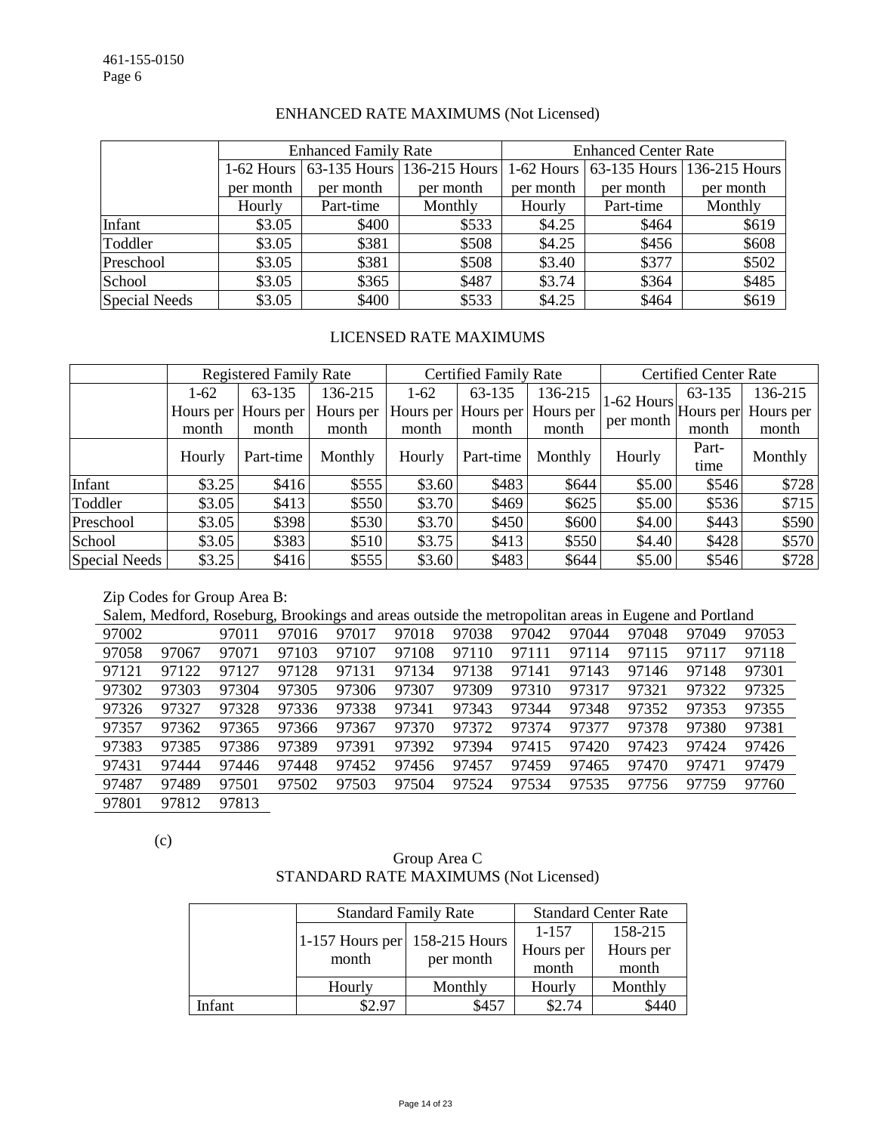|               |           | <b>Enhanced Family Rate</b> |                                       | <b>Enhanced Center Rate</b> |           |                                       |  |
|---------------|-----------|-----------------------------|---------------------------------------|-----------------------------|-----------|---------------------------------------|--|
|               |           |                             | 1-62 Hours 63-135 Hours 136-215 Hours |                             |           | 1-62 Hours 63-135 Hours 136-215 Hours |  |
|               | per month | per month                   | per month                             | per month                   | per month | per month                             |  |
|               | Hourly    | Part-time                   | Monthly                               | Hourly                      | Part-time | Monthly                               |  |
| Infant        | \$3.05    | \$400                       | \$533                                 | \$4.25                      | \$464     | \$619                                 |  |
| Toddler       | \$3.05    | \$381                       | \$508                                 | \$4.25                      | \$456     | \$608                                 |  |
| Preschool     | \$3.05    | \$381                       | \$508                                 | \$3.40                      | \$377     | \$502                                 |  |
| School        | \$3.05    | \$365                       | \$487                                 | \$3.74                      | \$364     | \$485                                 |  |
| Special Needs | \$3.05    | \$400                       | \$533                                 | \$4.25                      | \$464     | \$619                                 |  |

#### ENHANCED RATE MAXIMUMS (Not Licensed)

#### LICENSED RATE MAXIMUMS

|                      | <b>Registered Family Rate</b> |                     |           | <b>Certified Family Rate</b> |                     |           | <b>Certified Center Rate</b>                       |        |           |
|----------------------|-------------------------------|---------------------|-----------|------------------------------|---------------------|-----------|----------------------------------------------------|--------|-----------|
|                      | $1-62$                        | 63-135              | 136-215   | $1-62$                       | 63-135              | 136-215   |                                                    | 63-135 | 136-215   |
|                      |                               | Hours per Hours per | Hours per |                              | Hours per Hours per | Hours per | $ 1-62$ Hours $ $ Hours per $ \cdot $<br>per month |        | Hours per |
|                      | month                         | month               | month     | month                        | month               | month     |                                                    | month  | month     |
|                      | Hourly                        | Part-time           | Monthly   | Hourly                       | Part-time           | Monthly   | Hourly                                             | Part-  | Monthly   |
|                      |                               |                     |           |                              |                     |           |                                                    | time   |           |
| Infant               | \$3.25                        | \$416               | \$555     | \$3.60                       | \$483               | \$644     | \$5.00                                             | \$546  | \$728     |
| Toddler              | \$3.05                        | \$413               | \$550     | \$3.70                       | \$469               | \$625     | \$5.00                                             | \$536  | \$715     |
| Preschool            | \$3.05                        | \$398               | \$530     | \$3.70                       | \$450               | \$600     | \$4.00                                             | \$443  | \$590     |
| School               | \$3.05                        | \$383               | \$510     | \$3.75                       | \$413               | \$550     | \$4.40                                             | \$428  | \$570     |
| <b>Special Needs</b> | \$3.25                        | \$416               | \$555     | \$3.60                       | \$483               | \$644     | \$5.00                                             | \$546  | \$728     |

#### Zip Codes for Group Area B:

Salem, Medford, Roseburg, Brookings and areas outside the metropolitan areas in Eugene and Portland

| 97002 |       | 97011 | 97016 | 97017 | 97018 | 97038 | 97042 | 97044 | 97048 | 97049 | 97053 |
|-------|-------|-------|-------|-------|-------|-------|-------|-------|-------|-------|-------|
| 97058 | 97067 | 97071 | 97103 | 97107 | 97108 | 97110 | 97111 | 97114 | 97115 | 97117 | 97118 |
| 97121 | 97122 | 97127 | 97128 | 97131 | 97134 | 97138 | 97141 | 97143 | 97146 | 97148 | 97301 |
| 97302 | 97303 | 97304 | 97305 | 97306 | 97307 | 97309 | 97310 | 97317 | 97321 | 97322 | 97325 |
| 97326 | 97327 | 97328 | 97336 | 97338 | 97341 | 97343 | 97344 | 97348 | 97352 | 97353 | 97355 |
| 97357 | 97362 | 97365 | 97366 | 97367 | 97370 | 97372 | 97374 | 97377 | 97378 | 97380 | 97381 |
| 97383 | 97385 | 97386 | 97389 | 97391 | 97392 | 97394 | 97415 | 97420 | 97423 | 97424 | 97426 |
| 97431 | 97444 | 97446 | 97448 | 97452 | 97456 | 97457 | 97459 | 97465 | 97470 | 97471 | 97479 |
| 97487 | 97489 | 97501 | 97502 | 97503 | 97504 | 97524 | 97534 | 97535 | 97756 | 97759 | 97760 |
| 97801 | 97812 | 97813 |       |       |       |       |       |       |       |       |       |

(c)

# Group Area C STANDARD RATE MAXIMUMS (Not Licensed)

|        |                                 | <b>Standard Family Rate</b> | <b>Standard Center Rate</b> |           |  |
|--------|---------------------------------|-----------------------------|-----------------------------|-----------|--|
|        | 1-157 Hours per $158-215$ Hours |                             | 1-157                       | 158-215   |  |
|        | month                           | per month                   | Hours per                   | Hours per |  |
|        |                                 |                             | month                       | month     |  |
|        | Monthly<br>Hourly               |                             | Hourly                      | Monthly   |  |
| Infant | \$2.97                          | \$457                       | \$2.74                      | \$440     |  |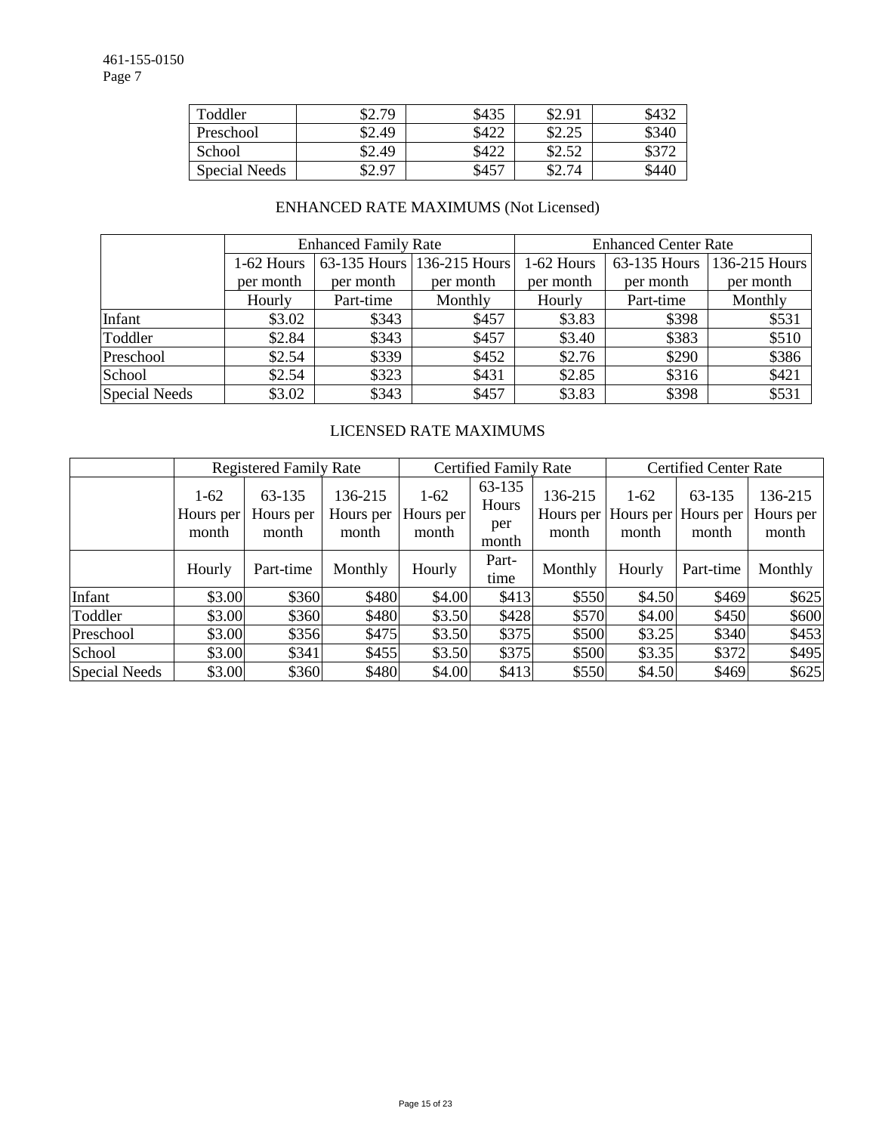| Toddler              | \$2.79 | \$435 | \$2.91         | D4.)  |
|----------------------|--------|-------|----------------|-------|
| Preschool            | \$2.49 | \$422 | ድግ ግድ<br>04.4J | \$340 |
| School               | \$2.49 | \$422 | \$2.52         |       |
| <b>Special Needs</b> | \$2.97 | \$457 | \$2.74         | \$440 |

# ENHANCED RATE MAXIMUMS (Not Licensed)

|                      |            | <b>Enhanced Family Rate</b> |                            | <b>Enhanced Center Rate</b> |              |               |  |  |
|----------------------|------------|-----------------------------|----------------------------|-----------------------------|--------------|---------------|--|--|
|                      | 1-62 Hours |                             | 63-135 Hours 136-215 Hours | 1-62 Hours                  | 63-135 Hours | 136-215 Hours |  |  |
|                      | per month  | per month                   | per month                  | per month                   | per month    | per month     |  |  |
|                      | Hourly     | Part-time                   | Monthly                    | Hourly                      | Part-time    | Monthly       |  |  |
| Infant               | \$3.02     | \$343                       | \$457                      | \$3.83                      | \$398        | \$531         |  |  |
| Toddler              | \$2.84     | \$343                       | \$457                      | \$3.40                      | \$383        | \$510         |  |  |
| Preschool            | \$2.54     | \$339                       | \$452                      | \$2.76                      | \$290        | \$386         |  |  |
| School               | \$2.54     | \$323                       | \$431                      | \$2.85                      | \$316        | \$421         |  |  |
| <b>Special Needs</b> | \$3.02     | \$343                       | \$457                      | \$3.83                      | \$398        | \$531         |  |  |

# LICENSED RATE MAXIMUMS

|               |                              | <b>Registered Family Rate</b> |                               | <b>Certified Family Rate</b> |                                 |                               | <b>Certified Center Rate</b> |                              |                               |  |
|---------------|------------------------------|-------------------------------|-------------------------------|------------------------------|---------------------------------|-------------------------------|------------------------------|------------------------------|-------------------------------|--|
|               | $1-62$<br>Hours per<br>month | 63-135<br>Hours per<br>month  | 136-215<br>Hours per<br>month | $1-62$<br>Hours per<br>month | 63-135<br>Hours<br>per<br>month | 136-215<br>Hours per<br>month | $1-62$<br>Hours per<br>month | 63-135<br>Hours per<br>month | 136-215<br>Hours per<br>month |  |
|               | Hourly                       | Part-time                     | Monthly                       | Hourly                       | Part-<br>time                   | Monthly                       | Hourly                       | Part-time                    | Monthly                       |  |
| Infant        | \$3.00                       | \$360                         | \$480                         | \$4.00                       | \$413                           | \$550                         | \$4.50                       | \$469                        | \$625                         |  |
| Toddler       | \$3.00                       | \$360                         | \$480                         | \$3.50                       | \$428                           | \$570                         | \$4.00                       | \$450                        | \$600                         |  |
| Preschool     | \$3.00                       | \$356                         | \$475                         | \$3.50                       | \$375                           | \$500                         | \$3.25                       | \$340                        | \$453                         |  |
| School        | \$3.00                       | \$341                         | \$455                         | \$3.50                       | \$375                           | \$500                         | \$3.35                       | \$372                        | \$495                         |  |
| Special Needs | \$3.00                       | \$360                         | \$480                         | \$4.00                       | \$413                           | \$550                         | \$4.50                       | \$469                        | \$625                         |  |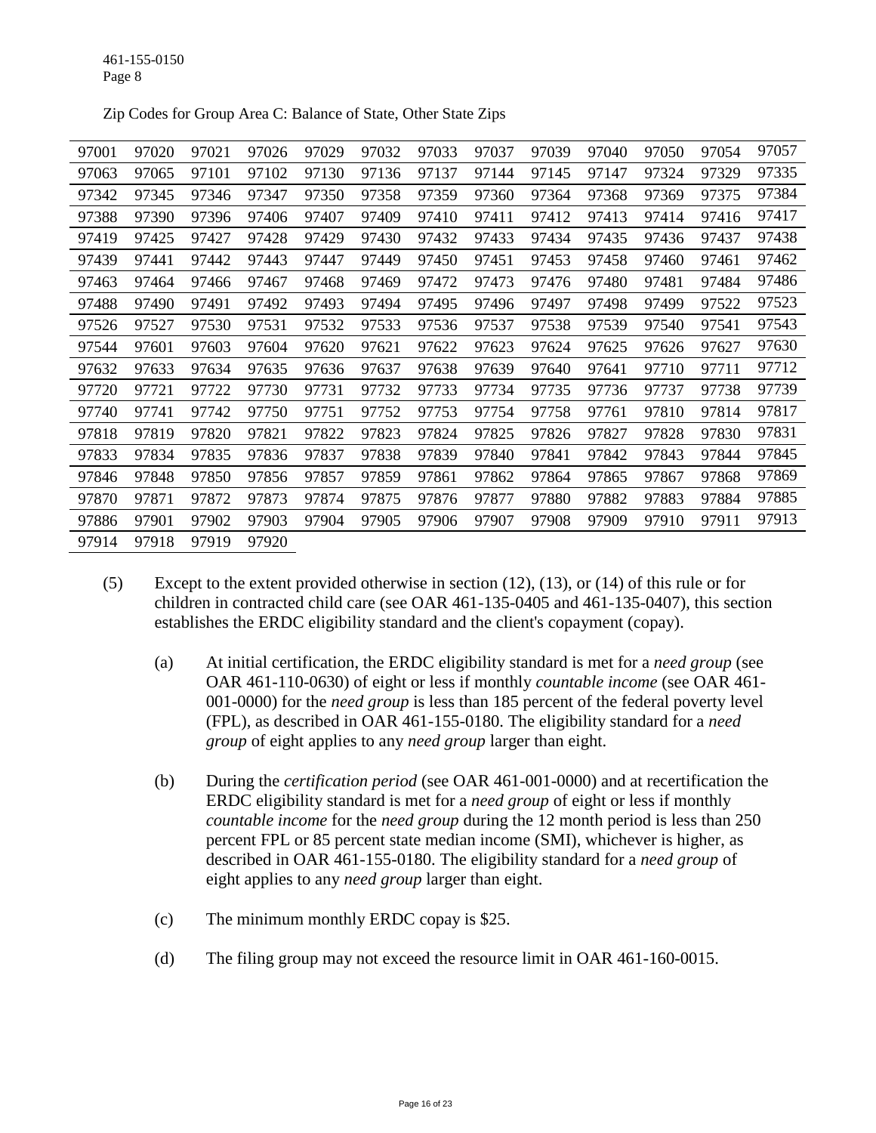| 97001 | 97020 | 97021 | 97026 | 97029 | 97032 | 97033 | 97037 | 97039 | 97040 | 97050 | 97054 | 97057 |
|-------|-------|-------|-------|-------|-------|-------|-------|-------|-------|-------|-------|-------|
| 97063 | 97065 | 97101 | 97102 | 97130 | 97136 | 97137 | 97144 | 97145 | 97147 | 97324 | 97329 | 97335 |
| 97342 | 97345 | 97346 | 97347 | 97350 | 97358 | 97359 | 97360 | 97364 | 97368 | 97369 | 97375 | 97384 |
| 97388 | 97390 | 97396 | 97406 | 97407 | 97409 | 97410 | 97411 | 97412 | 97413 | 97414 | 97416 | 97417 |
| 97419 | 97425 | 97427 | 97428 | 97429 | 97430 | 97432 | 97433 | 97434 | 97435 | 97436 | 97437 | 97438 |
| 97439 | 97441 | 97442 | 97443 | 97447 | 97449 | 97450 | 97451 | 97453 | 97458 | 97460 | 97461 | 97462 |
| 97463 | 97464 | 97466 | 97467 | 97468 | 97469 | 97472 | 97473 | 97476 | 97480 | 97481 | 97484 | 97486 |
| 97488 | 97490 | 97491 | 97492 | 97493 | 97494 | 97495 | 97496 | 97497 | 97498 | 97499 | 97522 | 97523 |
| 97526 | 97527 | 97530 | 97531 | 97532 | 97533 | 97536 | 97537 | 97538 | 97539 | 97540 | 97541 | 97543 |
| 97544 | 97601 | 97603 | 97604 | 97620 | 97621 | 97622 | 97623 | 97624 | 97625 | 97626 | 97627 | 97630 |
| 97632 | 97633 | 97634 | 97635 | 97636 | 97637 | 97638 | 97639 | 97640 | 97641 | 97710 | 97711 | 97712 |
| 97720 | 97721 | 97722 | 97730 | 97731 | 97732 | 97733 | 97734 | 97735 | 97736 | 97737 | 97738 | 97739 |
| 97740 | 97741 | 97742 | 97750 | 97751 | 97752 | 97753 | 97754 | 97758 | 97761 | 97810 | 97814 | 97817 |
| 97818 | 97819 | 97820 | 97821 | 97822 | 97823 | 97824 | 97825 | 97826 | 97827 | 97828 | 97830 | 97831 |
| 97833 | 97834 | 97835 | 97836 | 97837 | 97838 | 97839 | 97840 | 97841 | 97842 | 97843 | 97844 | 97845 |
| 97846 | 97848 | 97850 | 97856 | 97857 | 97859 | 97861 | 97862 | 97864 | 97865 | 97867 | 97868 | 97869 |
| 97870 | 97871 | 97872 | 97873 | 97874 | 97875 | 97876 | 97877 | 97880 | 97882 | 97883 | 97884 | 97885 |
| 97886 | 97901 | 97902 | 97903 | 97904 | 97905 | 97906 | 97907 | 97908 | 97909 | 97910 | 97911 | 97913 |
| 97914 | 97918 | 97919 | 97920 |       |       |       |       |       |       |       |       |       |

Zip Codes for Group Area C: Balance of State, Other State Zips

- (5) Except to the extent provided otherwise in section (12), (13), or (14) of this rule or for children in contracted child care (see OAR 461-135-0405 and 461-135-0407), this section establishes the ERDC eligibility standard and the client's copayment (copay).
	- (a) At initial certification, the ERDC eligibility standard is met for a *need group* (see OAR 461-110-0630) of eight or less if monthly *countable income* (see OAR 461- 001-0000) for the *need group* is less than 185 percent of the federal poverty level (FPL), as described in OAR 461-155-0180. The eligibility standard for a *need group* of eight applies to any *need group* larger than eight.
	- (b) During the *certification period* (see OAR 461-001-0000) and at recertification the ERDC eligibility standard is met for a *need group* of eight or less if monthly *countable income* for the *need group* during the 12 month period is less than 250 percent FPL or 85 percent state median income (SMI), whichever is higher, as described in OAR 461-155-0180. The eligibility standard for a *need group* of eight applies to any *need group* larger than eight.
	- (c) The minimum monthly ERDC copay is \$25.
	- (d) The filing group may not exceed the resource limit in OAR 461-160-0015.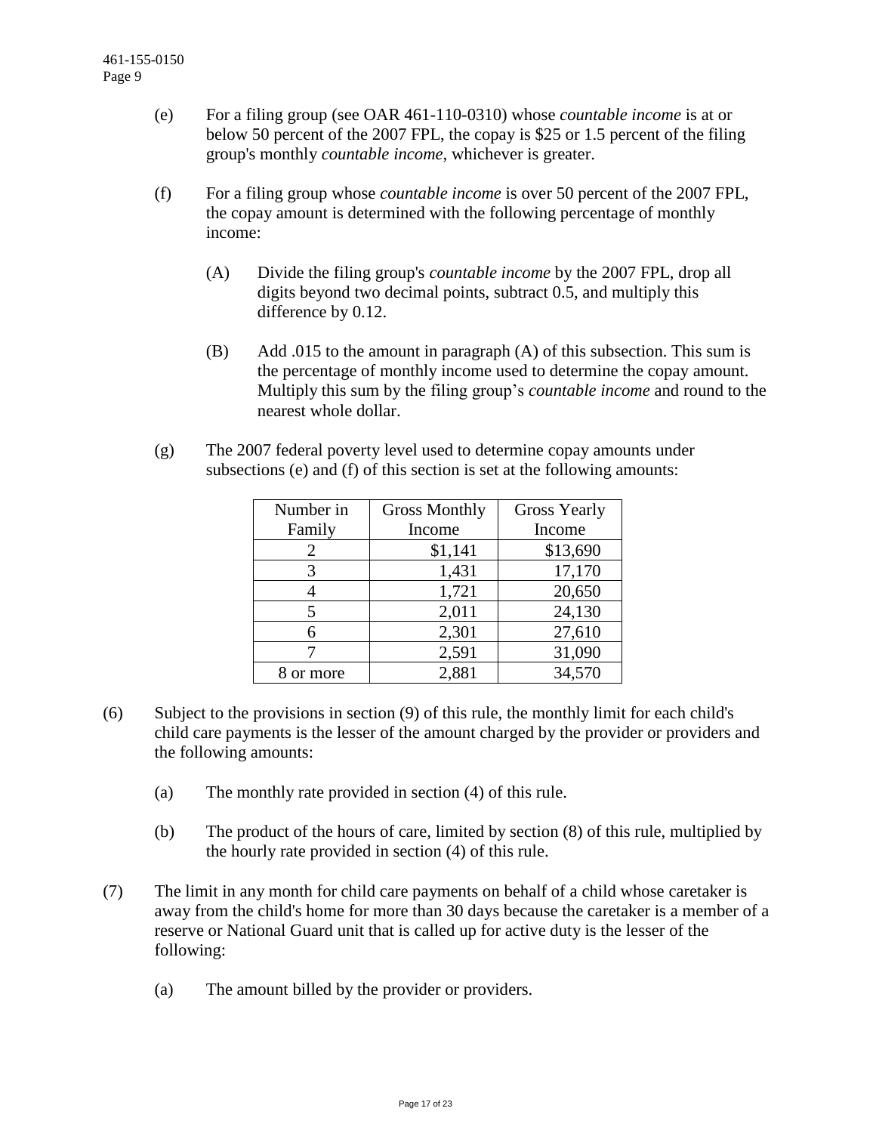- (e) For a filing group (see OAR 461-110-0310) whose *countable income* is at or below 50 percent of the 2007 FPL, the copay is \$25 or 1.5 percent of the filing group's monthly *countable income*, whichever is greater.
- (f) For a filing group whose *countable income* is over 50 percent of the 2007 FPL, the copay amount is determined with the following percentage of monthly income:
	- (A) Divide the filing group's *countable income* by the 2007 FPL, drop all digits beyond two decimal points, subtract 0.5, and multiply this difference by 0.12.
	- (B) Add .015 to the amount in paragraph (A) of this subsection. This sum is the percentage of monthly income used to determine the copay amount. Multiply this sum by the filing group's *countable income* and round to the nearest whole dollar.
- (g) The 2007 federal poverty level used to determine copay amounts under subsections (e) and (f) of this section is set at the following amounts:

| Number in | <b>Gross Monthly</b> | <b>Gross Yearly</b> |  |  |  |
|-----------|----------------------|---------------------|--|--|--|
| Family    | Income               | Income              |  |  |  |
| 2         | \$1,141              | \$13,690            |  |  |  |
| 3         | 1,431                | 17,170              |  |  |  |
|           | 1,721                | 20,650              |  |  |  |
|           | 2,011                | 24,130              |  |  |  |
| 6         | 2,301                | 27,610              |  |  |  |
|           | 2,591                | 31,090              |  |  |  |
| or more   | 2,881                | 34,570              |  |  |  |

- (6) Subject to the provisions in section (9) of this rule, the monthly limit for each child's child care payments is the lesser of the amount charged by the provider or providers and the following amounts:
	- (a) The monthly rate provided in section (4) of this rule.
	- (b) The product of the hours of care, limited by section (8) of this rule, multiplied by the hourly rate provided in section (4) of this rule.
- (7) The limit in any month for child care payments on behalf of a child whose caretaker is away from the child's home for more than 30 days because the caretaker is a member of a reserve or National Guard unit that is called up for active duty is the lesser of the following:
	- (a) The amount billed by the provider or providers.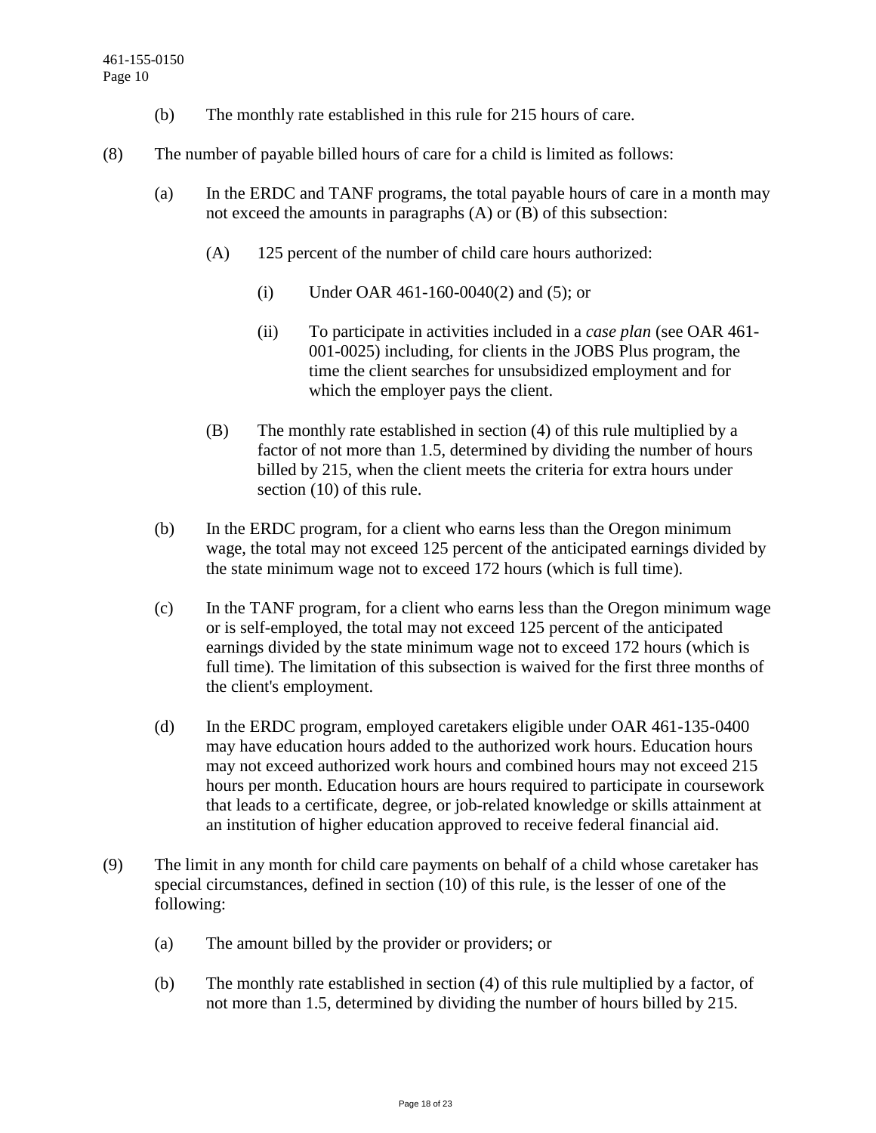- (b) The monthly rate established in this rule for 215 hours of care.
- (8) The number of payable billed hours of care for a child is limited as follows:
	- (a) In the ERDC and TANF programs, the total payable hours of care in a month may not exceed the amounts in paragraphs (A) or (B) of this subsection:
		- (A) 125 percent of the number of child care hours authorized:
			- (i) Under OAR 461-160-0040(2) and (5); or
			- (ii) To participate in activities included in a *case plan* (see OAR 461- 001-0025) including, for clients in the JOBS Plus program, the time the client searches for unsubsidized employment and for which the employer pays the client.
		- (B) The monthly rate established in section (4) of this rule multiplied by a factor of not more than 1.5, determined by dividing the number of hours billed by 215, when the client meets the criteria for extra hours under section (10) of this rule.
	- (b) In the ERDC program, for a client who earns less than the Oregon minimum wage, the total may not exceed 125 percent of the anticipated earnings divided by the state minimum wage not to exceed 172 hours (which is full time).
	- (c) In the TANF program, for a client who earns less than the Oregon minimum wage or is self-employed, the total may not exceed 125 percent of the anticipated earnings divided by the state minimum wage not to exceed 172 hours (which is full time). The limitation of this subsection is waived for the first three months of the client's employment.
	- (d) In the ERDC program, employed caretakers eligible under OAR 461-135-0400 may have education hours added to the authorized work hours. Education hours may not exceed authorized work hours and combined hours may not exceed 215 hours per month. Education hours are hours required to participate in coursework that leads to a certificate, degree, or job-related knowledge or skills attainment at an institution of higher education approved to receive federal financial aid.
- (9) The limit in any month for child care payments on behalf of a child whose caretaker has special circumstances, defined in section (10) of this rule, is the lesser of one of the following:
	- (a) The amount billed by the provider or providers; or
	- (b) The monthly rate established in section (4) of this rule multiplied by a factor, of not more than 1.5, determined by dividing the number of hours billed by 215.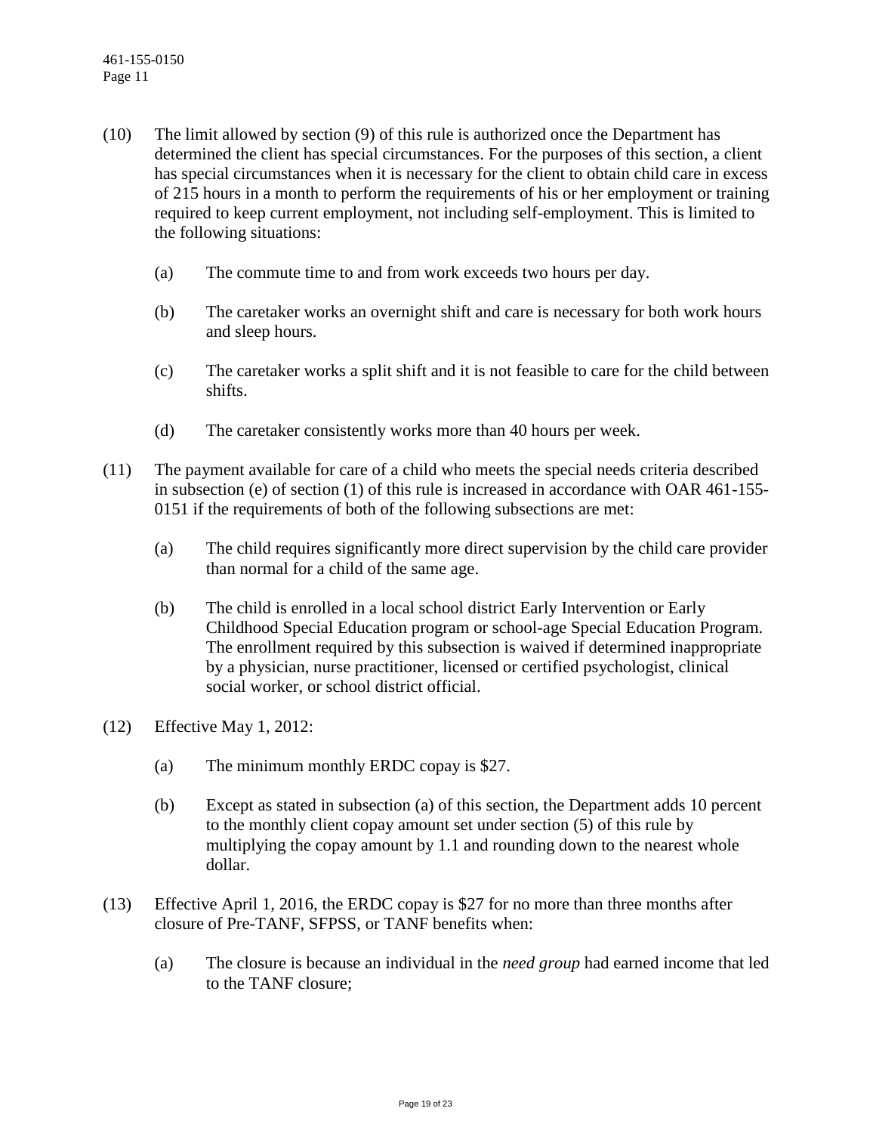- (10) The limit allowed by section (9) of this rule is authorized once the Department has determined the client has special circumstances. For the purposes of this section, a client has special circumstances when it is necessary for the client to obtain child care in excess of 215 hours in a month to perform the requirements of his or her employment or training required to keep current employment, not including self-employment. This is limited to the following situations:
	- (a) The commute time to and from work exceeds two hours per day.
	- (b) The caretaker works an overnight shift and care is necessary for both work hours and sleep hours.
	- (c) The caretaker works a split shift and it is not feasible to care for the child between shifts.
	- (d) The caretaker consistently works more than 40 hours per week.
- (11) The payment available for care of a child who meets the special needs criteria described in subsection (e) of section (1) of this rule is increased in accordance with OAR 461-155- 0151 if the requirements of both of the following subsections are met:
	- (a) The child requires significantly more direct supervision by the child care provider than normal for a child of the same age.
	- (b) The child is enrolled in a local school district Early Intervention or Early Childhood Special Education program or school-age Special Education Program. The enrollment required by this subsection is waived if determined inappropriate by a physician, nurse practitioner, licensed or certified psychologist, clinical social worker, or school district official.
- (12) Effective May 1, 2012:
	- (a) The minimum monthly ERDC copay is \$27.
	- (b) Except as stated in subsection (a) of this section, the Department adds 10 percent to the monthly client copay amount set under section (5) of this rule by multiplying the copay amount by 1.1 and rounding down to the nearest whole dollar.
- (13) Effective April 1, 2016, the ERDC copay is \$27 for no more than three months after closure of Pre-TANF, SFPSS, or TANF benefits when:
	- (a) The closure is because an individual in the *need group* had earned income that led to the TANF closure;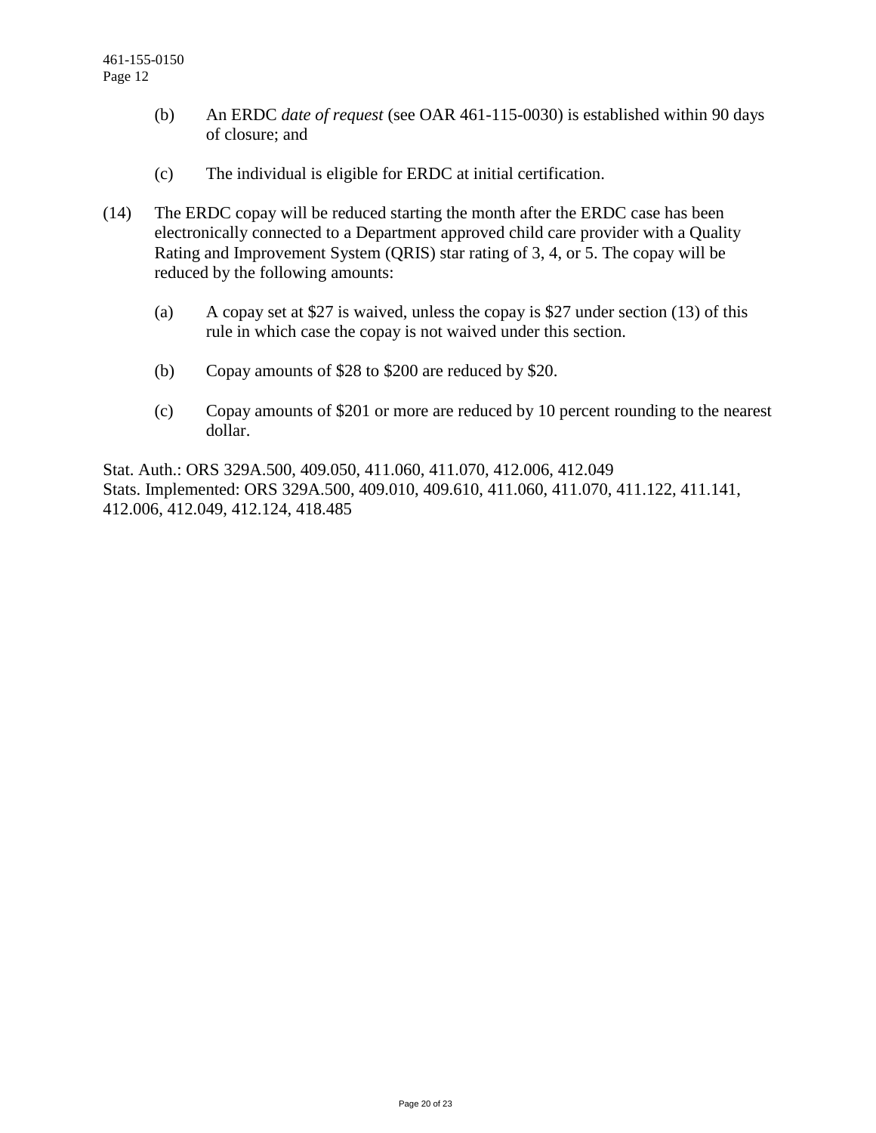- (b) An ERDC *date of request* (see OAR 461-115-0030) is established within 90 days of closure; and
- (c) The individual is eligible for ERDC at initial certification.
- (14) The ERDC copay will be reduced starting the month after the ERDC case has been electronically connected to a Department approved child care provider with a Quality Rating and Improvement System (QRIS) star rating of 3, 4, or 5. The copay will be reduced by the following amounts:
	- (a) A copay set at \$27 is waived, unless the copay is \$27 under section (13) of this rule in which case the copay is not waived under this section.
	- (b) Copay amounts of \$28 to \$200 are reduced by \$20.
	- (c) Copay amounts of \$201 or more are reduced by 10 percent rounding to the nearest dollar.

Stat. Auth.: ORS 329A.500, 409.050, 411.060, 411.070, 412.006, 412.049 Stats. Implemented: ORS 329A.500, 409.010, 409.610, 411.060, 411.070, 411.122, 411.141, 412.006, 412.049, 412.124, 418.485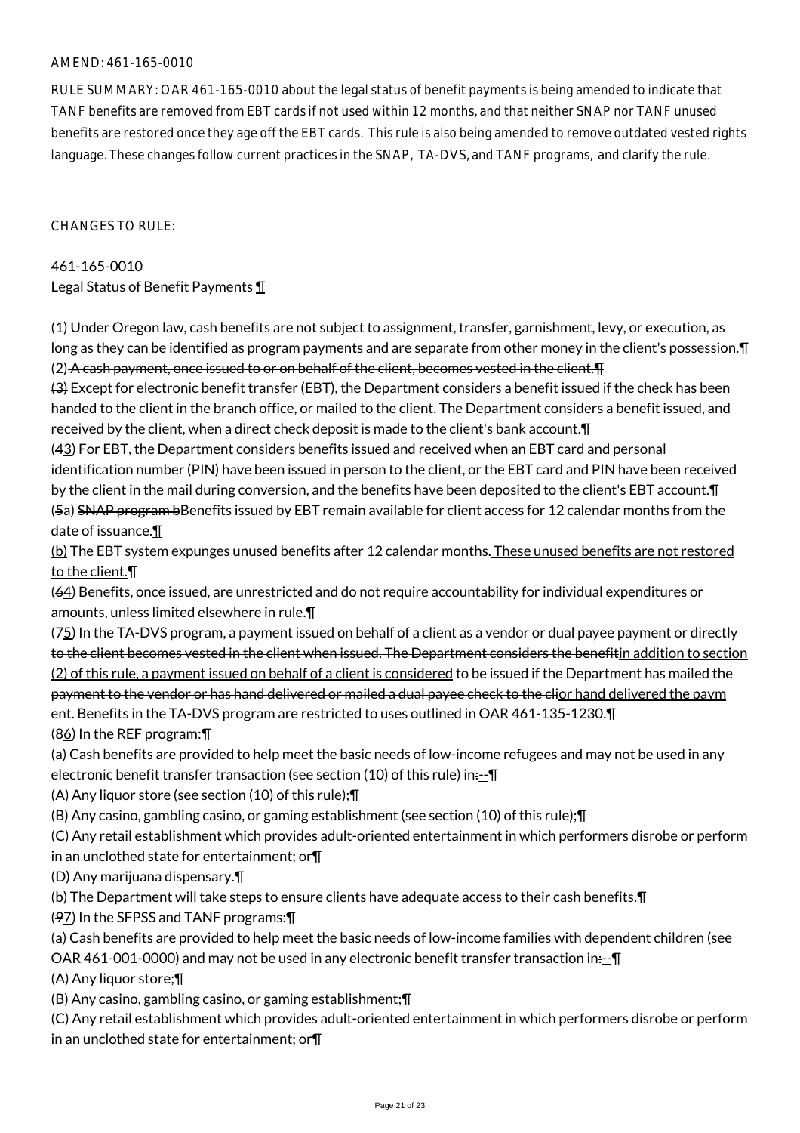#### AMEND: 461-165-0010

RULE SUMMARY: OAR 461-165-0010 about the legal status of benefit payments is being amended to indicate that TANF benefits are removed from EBT cards if not used within 12 months, and that neither SNAP nor TANF unused benefits are restored once they age off the EBT cards. This rule is also being amended to remove outdated vested rights language. These changes follow current practices in the SNAP, TA-DVS, and TANF programs, and clarify the rule.

CHANGES TO RULE:

461-165-0010 Legal Status of Benefit Payments ¶

(1) Under Oregon law, cash benefits are not subject to assignment, transfer, garnishment, levy, or execution, as long as they can be identified as program payments and are separate from other money in the client's possession.¶ (2) A cash payment, once issued to or on behalf of the client, becomes vested in the client.¶

(3) Except for electronic benefit transfer (EBT), the Department considers a benefit issued if the check has been handed to the client in the branch office, or mailed to the client. The Department considers a benefit issued, and received by the client, when a direct check deposit is made to the client's bank account.¶

(43) For EBT, the Department considers benefits issued and received when an EBT card and personal identification number (PIN) have been issued in person to the client, or the EBT card and PIN have been received by the client in the mail during conversion, and the benefits have been deposited to the client's EBT account.¶ (5a) SNAP program bBenefits issued by EBT remain available for client access for 12 calendar months from the date of issuance.¶

(b) The EBT system expunges unused benefits after 12 calendar months. These unused benefits are not restored to the client.¶

(64) Benefits, once issued, are unrestricted and do not require accountability for individual expenditures or amounts, unless limited elsewhere in rule.¶

 $(75)$  In the TA-DVS program, a payment issued on behalf of a client as a vendor or dual payee payment or directly to the client becomes vested in the client when issued. The Department considers the benefitin addition to section (2) of this rule, a payment issued on behalf of a client is considered to be issued if the Department has mailed the payment to the vendor or has hand delivered or mailed a dual payee check to the clior hand delivered the paym ent. Benefits in the TA-DVS program are restricted to uses outlined in OAR 461-135-1230.¶ (86) In the REF program:¶

(a) Cash benefits are provided to help meet the basic needs of low-income refugees and may not be used in any electronic benefit transfer transaction (see section (10) of this rule) in:--¶

(A) Any liquor store (see section (10) of this rule);¶

(B) Any casino, gambling casino, or gaming establishment (see section (10) of this rule);¶

(C) Any retail establishment which provides adult-oriented entertainment in which performers disrobe or perform in an unclothed state for entertainment; or¶

(D) Any marijuana dispensary.¶

(b) The Department will take steps to ensure clients have adequate access to their cash benefits.¶

(97) In the SFPSS and TANF programs:¶

(a) Cash benefits are provided to help meet the basic needs of low-income families with dependent children (see

OAR 461-001-0000) and may not be used in any electronic benefit transfer transaction in $\cdot$ -- $\P$ 

(A) Any liquor store;¶

(B) Any casino, gambling casino, or gaming establishment;¶

(C) Any retail establishment which provides adult-oriented entertainment in which performers disrobe or perform in an unclothed state for entertainment; or¶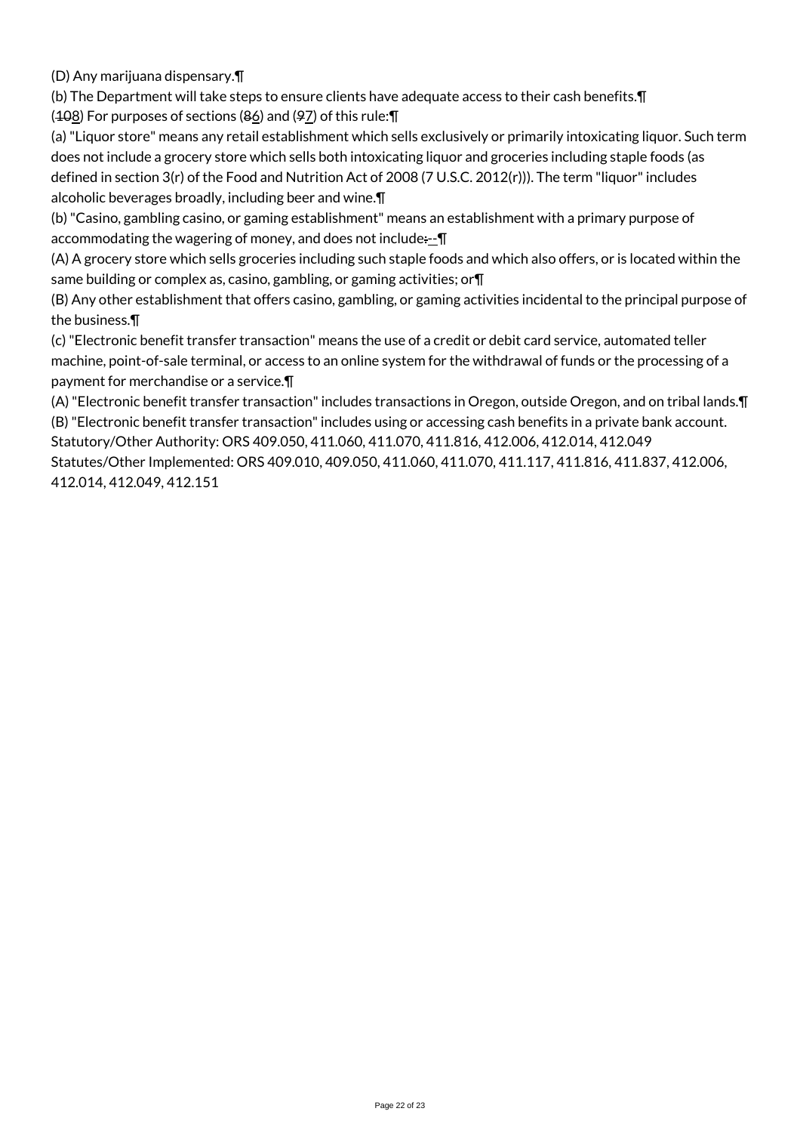(D) Any marijuana dispensary.¶

(b) The Department will take steps to ensure clients have adequate access to their cash benefits.¶  $(408)$  For purposes of sections ( $86$ ) and ( $97$ ) of this rule:  $\P$ 

(a) "Liquor store" means any retail establishment which sells exclusively or primarily intoxicating liquor. Such term does not include a grocery store which sells both intoxicating liquor and groceries including staple foods (as defined in section 3(r) of the Food and Nutrition Act of 2008 (7 U.S.C. 2012(r))). The term "liquor" includes alcoholic beverages broadly, including beer and wine.¶

(b) "Casino, gambling casino, or gaming establishment" means an establishment with a primary purpose of accommodating the wagering of money, and does not include: $\pm \mathbf{I}$ 

(A) A grocery store which sells groceries including such staple foods and which also offers, or is located within the same building or complex as, casino, gambling, or gaming activities; or¶

(B) Any other establishment that offers casino, gambling, or gaming activities incidental to the principal purpose of the business.¶

(c) "Electronic benefit transfer transaction" means the use of a credit or debit card service, automated teller machine, point-of-sale terminal, or access to an online system for the withdrawal of funds or the processing of a payment for merchandise or a service.¶

(A) "Electronic benefit transfer transaction" includes transactions in Oregon, outside Oregon, and on tribal lands.¶ (B) "Electronic benefit transfer transaction" includes using or accessing cash benefits in a private bank account. Statutory/Other Authority: ORS 409.050, 411.060, 411.070, 411.816, 412.006, 412.014, 412.049

Statutes/Other Implemented: ORS 409.010, 409.050, 411.060, 411.070, 411.117, 411.816, 411.837, 412.006, 412.014, 412.049, 412.151